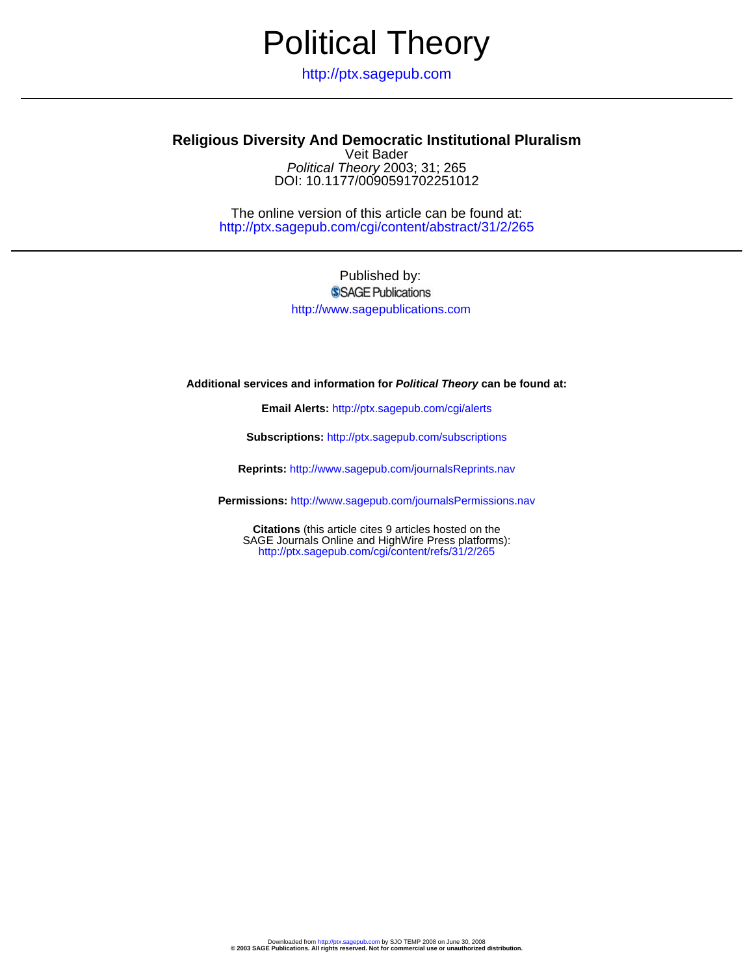# Political Theory

http://ptx.sagepub.com

# **Religious Diversity And Democratic Institutional Pluralism**

DOI: 10.1177/0090591702251012 Political Theory 2003; 31; 265 Veit Bader

http://ptx.sagepub.com/cgi/content/abstract/31/2/265 The online version of this article can be found at:

> Published by: SSAGE Publications http://www.sagepublications.com

**Additional services and information for Political Theory can be found at:**

**Email Alerts:** <http://ptx.sagepub.com/cgi/alerts>

**Subscriptions:** <http://ptx.sagepub.com/subscriptions>

**Reprints:** <http://www.sagepub.com/journalsReprints.nav>

**Permissions:** <http://www.sagepub.com/journalsPermissions.nav>

<http://ptx.sagepub.com/cgi/content/refs/31/2/265> SAGE Journals Online and HighWire Press platforms): **Citations** (this article cites 9 articles hosted on the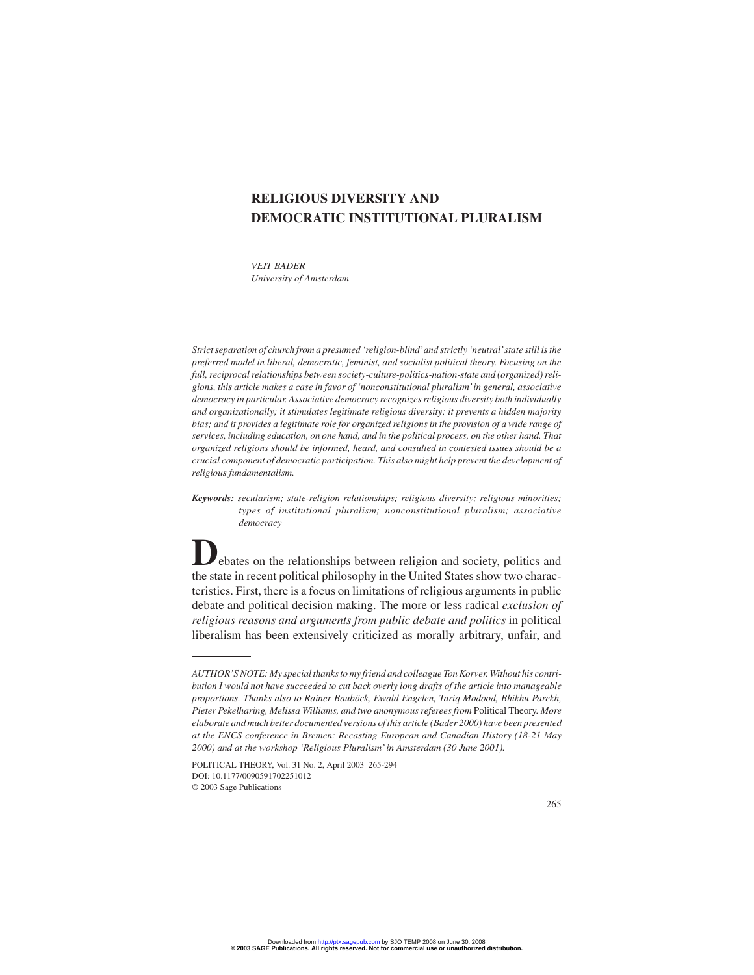# **RELIGIOUS DIVERSITY AND DEMOCRATIC INSTITUTIONAL PLURALISM**

*VEIT BADER University of Amsterdam*

*Strict separation of church from a presumed 'religion-blind'and strictly 'neutral'state still is the preferred model in liberal, democratic, feminist, and socialist political theory. Focusing on the full, reciprocal relationships between society-culture-politics-nation-state and (organized) religions, this article makes a case in favor of 'nonconstitutional pluralism'in general, associative democracy in particular. Associative democracy recognizes religious diversity both individually and organizationally; it stimulates legitimate religious diversity; it prevents a hidden majority bias; and it provides a legitimate role for organized religions in the provision of a wide range of services, including education, on one hand, and in the political process, on the other hand. That organized religions should be informed, heard, and consulted in contested issues should be a crucial component of democratic participation. This also might help prevent the development of religious fundamentalism.*

*Keywords: secularism; state-religion relationships; religious diversity; religious minorities; types of institutional pluralism; nonconstitutional pluralism; associative democracy*

**D**ebates on the relationships between religion and society, politics and the state in recent political philosophy in the United States show two characteristics. First, there is a focus on limitations of religious arguments in public debate and political decision making. The more or less radical *exclusion of religious reasons and arguments from public debate and politics* in political liberalism has been extensively criticized as morally arbitrary, unfair, and

*AUTHOR'S NOTE: My special thanks to my friend and colleague Ton Korver. Without his contribution I would not have succeeded to cut back overly long drafts of the article into manageable proportions. Thanks also to Rainer Bauböck, Ewald Engelen, Tariq Modood, Bhikhu Parekh, Pieter Pekelharing, Melissa Williams, and two anonymous referees from* Political Theory*. More elaborate and much better documented versions of this article (Bader 2000) have been presented at the ENCS conference in Bremen: Recasting European and Canadian History (18-21 May 2000) and at the workshop 'Religious Pluralism' in Amsterdam (30 June 2001).*

POLITICAL THEORY, Vol. 31 No. 2, April 2003 265-294 DOI: 10.1177/0090591702251012 © 2003 Sage Publications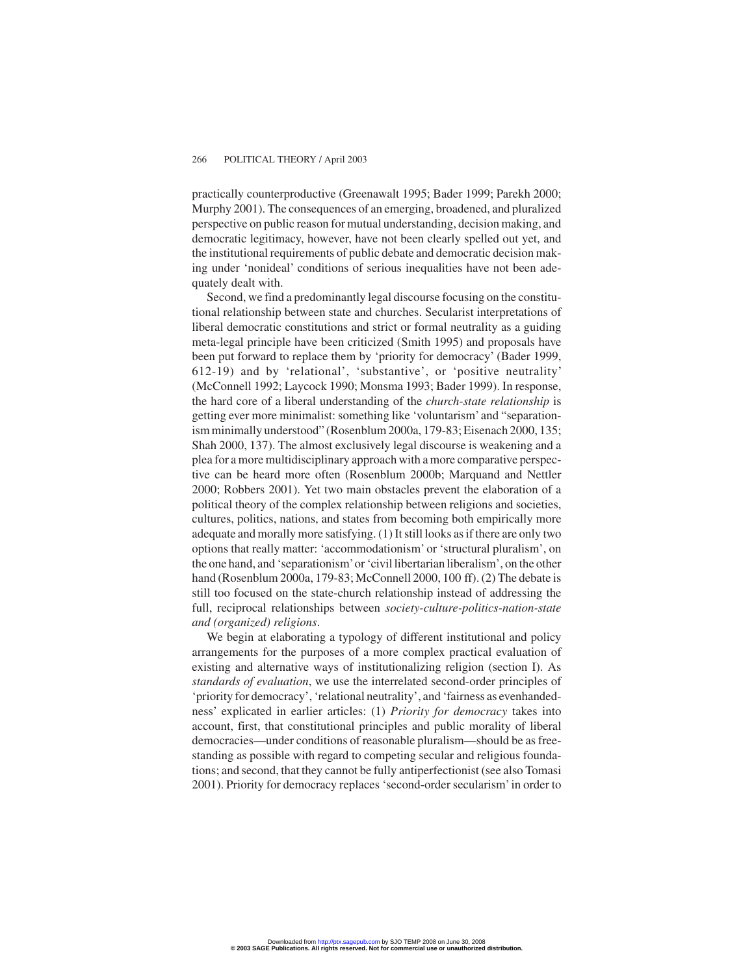practically counterproductive (Greenawalt 1995; Bader 1999; Parekh 2000; Murphy 2001). The consequences of an emerging, broadened, and pluralized perspective on public reason for mutual understanding, decision making, and democratic legitimacy, however, have not been clearly spelled out yet, and the institutional requirements of public debate and democratic decision making under 'nonideal' conditions of serious inequalities have not been adequately dealt with.

Second, we find a predominantly legal discourse focusing on the constitutional relationship between state and churches. Secularist interpretations of liberal democratic constitutions and strict or formal neutrality as a guiding meta-legal principle have been criticized (Smith 1995) and proposals have been put forward to replace them by 'priority for democracy' (Bader 1999, 612-19) and by 'relational', 'substantive', or 'positive neutrality' (McConnell 1992; Laycock 1990; Monsma 1993; Bader 1999). In response, the hard core of a liberal understanding of the *church-state relationship* is getting ever more minimalist: something like 'voluntarism' and "separationism minimally understood" (Rosenblum 2000a, 179-83; Eisenach 2000, 135; Shah 2000, 137). The almost exclusively legal discourse is weakening and a plea for a more multidisciplinary approach with a more comparative perspective can be heard more often (Rosenblum 2000b; Marquand and Nettler 2000; Robbers 2001). Yet two main obstacles prevent the elaboration of a political theory of the complex relationship between religions and societies, cultures, politics, nations, and states from becoming both empirically more adequate and morally more satisfying. (1) It still looks as if there are only two options that really matter: 'accommodationism' or 'structural pluralism', on the one hand, and 'separationism'or 'civil libertarian liberalism', on the other hand (Rosenblum 2000a, 179-83; McConnell 2000, 100 ff). (2) The debate is still too focused on the state-church relationship instead of addressing the full, reciprocal relationships between *society-culture-politics-nation-state and (organized) religions*.

We begin at elaborating a typology of different institutional and policy arrangements for the purposes of a more complex practical evaluation of existing and alternative ways of institutionalizing religion (section I). As *standards of evaluation*, we use the interrelated second-order principles of 'priority for democracy', 'relational neutrality', and 'fairness as evenhandedness' explicated in earlier articles: (1) *Priority for democracy* takes into account, first, that constitutional principles and public morality of liberal democracies—under conditions of reasonable pluralism—should be as freestanding as possible with regard to competing secular and religious foundations; and second, that they cannot be fully antiperfectionist (see also Tomasi 2001). Priority for democracy replaces 'second-order secularism' in order to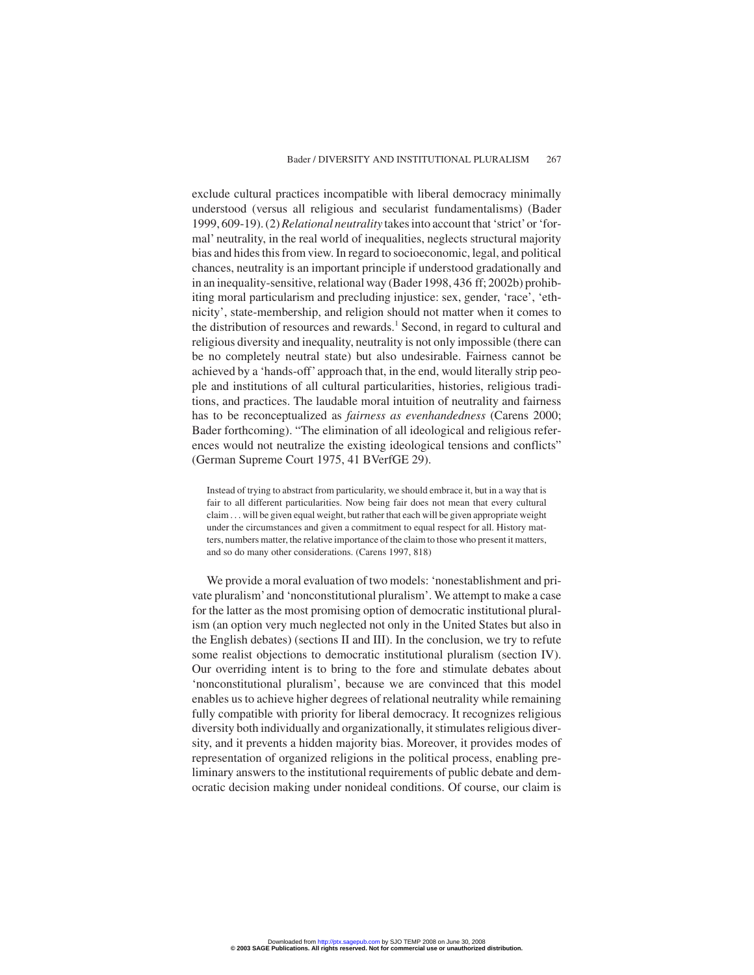exclude cultural practices incompatible with liberal democracy minimally understood (versus all religious and secularist fundamentalisms) (Bader 1999, 609-19). (2)*Relational neutrality* takes into account that 'strict'or 'formal' neutrality, in the real world of inequalities, neglects structural majority bias and hides this from view. In regard to socioeconomic, legal, and political chances, neutrality is an important principle if understood gradationally and in an inequality-sensitive, relational way (Bader 1998, 436 ff; 2002b) prohibiting moral particularism and precluding injustice: sex, gender, 'race', 'ethnicity', state-membership, and religion should not matter when it comes to the distribution of resources and rewards.<sup>1</sup> Second, in regard to cultural and religious diversity and inequality, neutrality is not only impossible (there can be no completely neutral state) but also undesirable. Fairness cannot be achieved by a 'hands-off'approach that, in the end, would literally strip people and institutions of all cultural particularities, histories, religious traditions, and practices. The laudable moral intuition of neutrality and fairness has to be reconceptualized as *fairness as evenhandedness* (Carens 2000; Bader forthcoming). "The elimination of all ideological and religious references would not neutralize the existing ideological tensions and conflicts" (German Supreme Court 1975, 41 BVerfGE 29).

Instead of trying to abstract from particularity, we should embrace it, but in a way that is fair to all different particularities. Now being fair does not mean that every cultural claim... will be given equal weight, but rather that each will be given appropriate weight under the circumstances and given a commitment to equal respect for all. History matters, numbers matter, the relative importance of the claim to those who present it matters, and so do many other considerations. (Carens 1997, 818)

We provide a moral evaluation of two models: 'nonestablishment and private pluralism'and 'nonconstitutional pluralism'. We attempt to make a case for the latter as the most promising option of democratic institutional pluralism (an option very much neglected not only in the United States but also in the English debates) (sections II and III). In the conclusion, we try to refute some realist objections to democratic institutional pluralism (section IV). Our overriding intent is to bring to the fore and stimulate debates about 'nonconstitutional pluralism', because we are convinced that this model enables us to achieve higher degrees of relational neutrality while remaining fully compatible with priority for liberal democracy. It recognizes religious diversity both individually and organizationally, it stimulates religious diversity, and it prevents a hidden majority bias. Moreover, it provides modes of representation of organized religions in the political process, enabling preliminary answers to the institutional requirements of public debate and democratic decision making under nonideal conditions. Of course, our claim is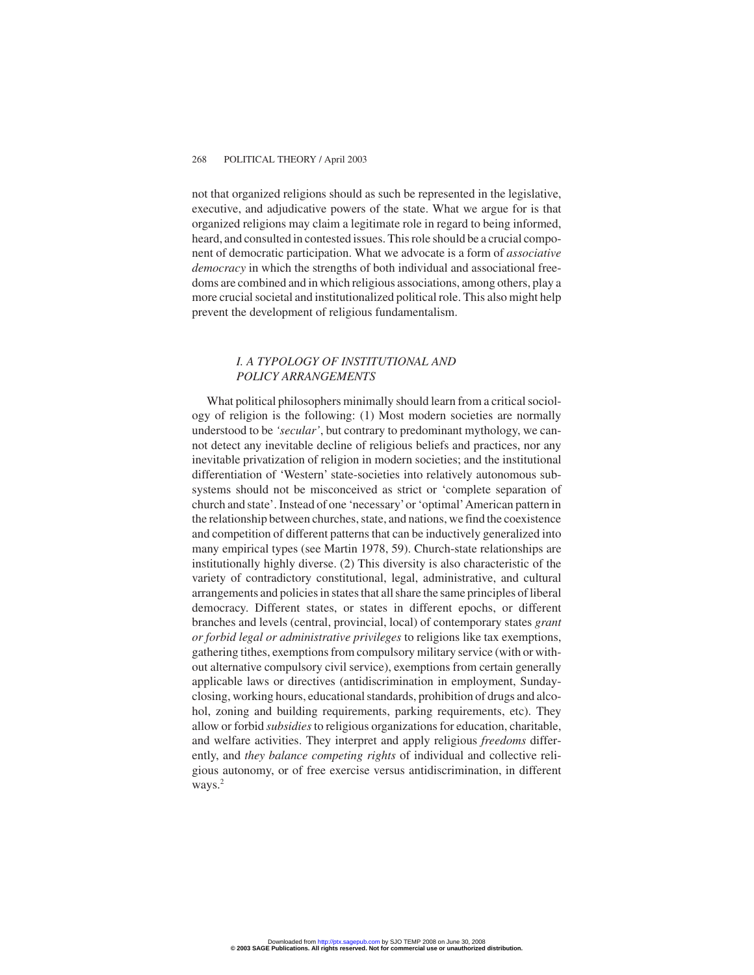not that organized religions should as such be represented in the legislative, executive, and adjudicative powers of the state. What we argue for is that organized religions may claim a legitimate role in regard to being informed, heard, and consulted in contested issues. This role should be a crucial component of democratic participation. What we advocate is a form of *associative democracy* in which the strengths of both individual and associational freedoms are combined and in which religious associations, among others, play a more crucial societal and institutionalized political role. This also might help prevent the development of religious fundamentalism.

# *I. A TYPOLOGY OF INSTITUTIONAL AND POLICY ARRANGEMENTS*

What political philosophers minimally should learn from a critical sociology of religion is the following: (1) Most modern societies are normally understood to be *'secular'*, but contrary to predominant mythology, we cannot detect any inevitable decline of religious beliefs and practices, nor any inevitable privatization of religion in modern societies; and the institutional differentiation of 'Western' state-societies into relatively autonomous subsystems should not be misconceived as strict or 'complete separation of church and state'. Instead of one 'necessary'or 'optimal'American pattern in the relationship between churches, state, and nations, we find the coexistence and competition of different patterns that can be inductively generalized into many empirical types (see Martin 1978, 59). Church-state relationships are institutionally highly diverse. (2) This diversity is also characteristic of the variety of contradictory constitutional, legal, administrative, and cultural arrangements and policies in states that all share the same principles of liberal democracy. Different states, or states in different epochs, or different branches and levels (central, provincial, local) of contemporary states *grant or forbid legal or administrative privileges* to religions like tax exemptions, gathering tithes, exemptions from compulsory military service (with or without alternative compulsory civil service), exemptions from certain generally applicable laws or directives (antidiscrimination in employment, Sundayclosing, working hours, educational standards, prohibition of drugs and alcohol, zoning and building requirements, parking requirements, etc). They allow or forbid *subsidies*to religious organizations for education, charitable, and welfare activities. They interpret and apply religious *freedoms* differently, and *they balance competing rights* of individual and collective religious autonomy, or of free exercise versus antidiscrimination, in different ways.<sup>2</sup>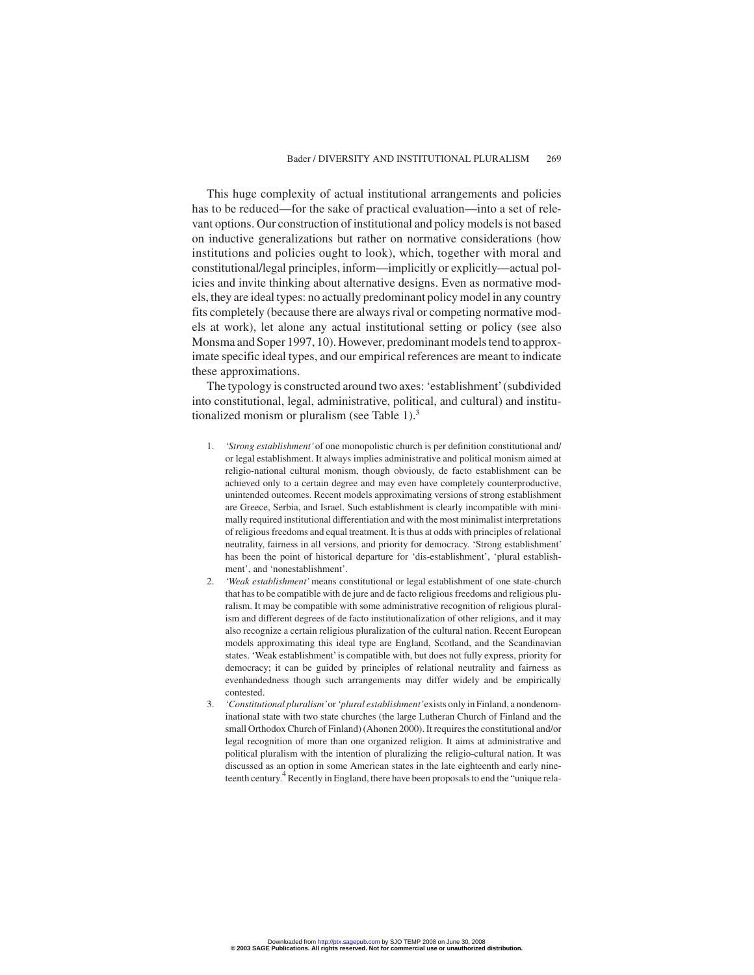This huge complexity of actual institutional arrangements and policies has to be reduced—for the sake of practical evaluation—into a set of relevant options. Our construction of institutional and policy models is not based on inductive generalizations but rather on normative considerations (how institutions and policies ought to look), which, together with moral and constitutional/legal principles, inform—implicitly or explicitly—actual policies and invite thinking about alternative designs. Even as normative models, they are ideal types: no actually predominant policy model in any country fits completely (because there are always rival or competing normative models at work), let alone any actual institutional setting or policy (see also Monsma and Soper 1997, 10). However, predominant models tend to approximate specific ideal types, and our empirical references are meant to indicate these approximations.

The typology is constructed around two axes: 'establishment'(subdivided into constitutional, legal, administrative, political, and cultural) and institutionalized monism or pluralism (see Table 1). $3$ 

- 1. *'Strong establishment'*of one monopolistic church is per definition constitutional and/ or legal establishment. It always implies administrative and political monism aimed at religio-national cultural monism, though obviously, de facto establishment can be achieved only to a certain degree and may even have completely counterproductive, unintended outcomes. Recent models approximating versions of strong establishment are Greece, Serbia, and Israel. Such establishment is clearly incompatible with minimally required institutional differentiation and with the most minimalist interpretations of religious freedoms and equal treatment. It is thus at odds with principles of relational neutrality, fairness in all versions, and priority for democracy. 'Strong establishment' has been the point of historical departure for 'dis-establishment', 'plural establishment', and 'nonestablishment'.
- 2. *'Weak establishment'* means constitutional or legal establishment of one state-church that has to be compatible with de jure and de facto religious freedoms and religious pluralism. It may be compatible with some administrative recognition of religious pluralism and different degrees of de facto institutionalization of other religions, and it may also recognize a certain religious pluralization of the cultural nation. Recent European models approximating this ideal type are England, Scotland, and the Scandinavian states. 'Weak establishment' is compatible with, but does not fully express, priority for democracy; it can be guided by principles of relational neutrality and fairness as evenhandedness though such arrangements may differ widely and be empirically contested.
- 3. *'Constitutional pluralism'*or*'plural establishment'*exists only in Finland, a nondenominational state with two state churches (the large Lutheran Church of Finland and the small Orthodox Church of Finland) (Ahonen 2000). It requires the constitutional and/or legal recognition of more than one organized religion. It aims at administrative and political pluralism with the intention of pluralizing the religio-cultural nation. It was discussed as an option in some American states in the late eighteenth and early nineteenth century.<sup>4</sup> Recently in England, there have been proposals to end the "unique rela-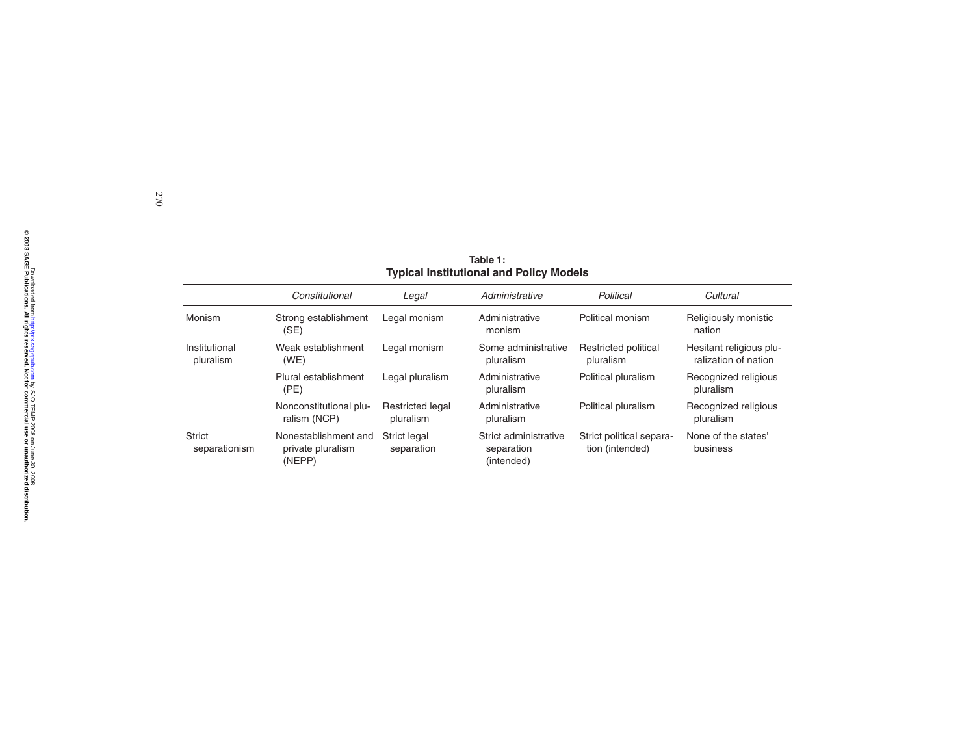| Typical Institutional and Folicy Models |                                                     |                                      |                                                   |                                             |                                                 |
|-----------------------------------------|-----------------------------------------------------|--------------------------------------|---------------------------------------------------|---------------------------------------------|-------------------------------------------------|
|                                         | Constitutional                                      | Legal                                | Administrative                                    | Political                                   | Cultural                                        |
| Monism                                  | Strong establishment<br>(SE)                        | Legal monism                         | Administrative<br>monism                          | Political monism                            | Religiously monistic<br>nation                  |
| Institutional<br>pluralism              | Weak establishment<br>(WE)                          | Legal monism                         | Some administrative<br>pluralism                  | Restricted political<br>pluralism           | Hesitant religious plu-<br>ralization of nation |
|                                         | Plural establishment<br>(PE)                        | Legal pluralism                      | Administrative<br>pluralism                       | Political pluralism                         | Recognized religious<br>pluralism               |
|                                         | Nonconstitutional plu-<br>ralism (NCP)              | <b>Restricted legal</b><br>pluralism | Administrative<br>pluralism                       | Political pluralism                         | Recognized religious<br>pluralism               |
| <b>Strict</b><br>separationism          | Nonestablishment and<br>private pluralism<br>(NEPP) | <b>Strict legal</b><br>separation    | Strict administrative<br>separation<br>(intended) | Strict political separa-<br>tion (intended) | None of the states'<br>business                 |

**Table 1: Typical Institutional and Policy Models**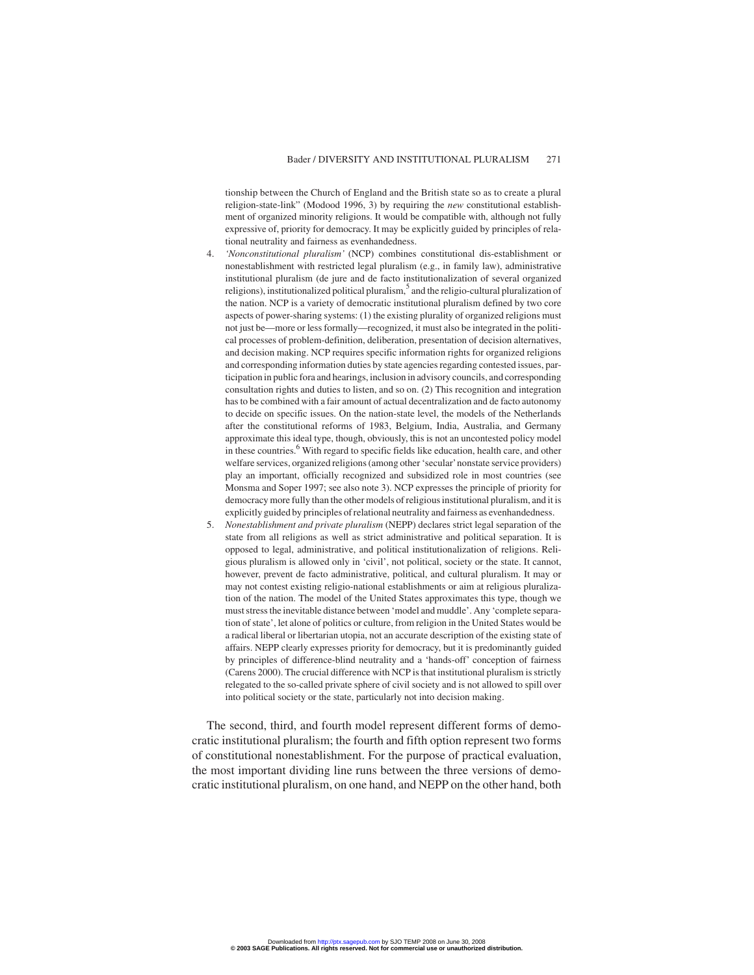tionship between the Church of England and the British state so as to create a plural religion-state-link" (Modood 1996, 3) by requiring the *new* constitutional establishment of organized minority religions. It would be compatible with, although not fully expressive of, priority for democracy. It may be explicitly guided by principles of relational neutrality and fairness as evenhandedness.

- 4. *'Nonconstitutional pluralism'* (NCP) combines constitutional dis-establishment or nonestablishment with restricted legal pluralism (e.g., in family law), administrative institutional pluralism (de jure and de facto institutionalization of several organized religions), institutionalized political pluralism,<sup>5</sup> and the religio-cultural pluralization of the nation. NCP is a variety of democratic institutional pluralism defined by two core aspects of power-sharing systems: (1) the existing plurality of organized religions must not just be—more or less formally—recognized, it must also be integrated in the political processes of problem-definition, deliberation, presentation of decision alternatives, and decision making. NCP requires specific information rights for organized religions and corresponding information duties by state agencies regarding contested issues, participation in public fora and hearings, inclusion in advisory councils, and corresponding consultation rights and duties to listen, and so on. (2) This recognition and integration has to be combined with a fair amount of actual decentralization and de facto autonomy to decide on specific issues. On the nation-state level, the models of the Netherlands after the constitutional reforms of 1983, Belgium, India, Australia, and Germany approximate this ideal type, though, obviously, this is not an uncontested policy model in these countries.<sup>8</sup> With regard to specific fields like education, health care, and other welfare services, organized religions (among other 'secular'nonstate service providers) play an important, officially recognized and subsidized role in most countries (see Monsma and Soper 1997; see also note 3). NCP expresses the principle of priority for democracy more fully than the other models of religious institutional pluralism, and it is explicitly guided by principles of relational neutrality and fairness as evenhandedness.
- 5. *Nonestablishment and private pluralism* (NEPP) declares strict legal separation of the state from all religions as well as strict administrative and political separation. It is opposed to legal, administrative, and political institutionalization of religions. Religious pluralism is allowed only in 'civil', not political, society or the state. It cannot, however, prevent de facto administrative, political, and cultural pluralism. It may or may not contest existing religio-national establishments or aim at religious pluralization of the nation. The model of the United States approximates this type, though we must stress the inevitable distance between 'model and muddle'. Any 'complete separation of state', let alone of politics or culture, from religion in the United States would be a radical liberal or libertarian utopia, not an accurate description of the existing state of affairs. NEPP clearly expresses priority for democracy, but it is predominantly guided by principles of difference-blind neutrality and a 'hands-off' conception of fairness (Carens 2000). The crucial difference with NCP is that institutional pluralism is strictly relegated to the so-called private sphere of civil society and is not allowed to spill over into political society or the state, particularly not into decision making.

The second, third, and fourth model represent different forms of democratic institutional pluralism; the fourth and fifth option represent two forms of constitutional nonestablishment. For the purpose of practical evaluation, the most important dividing line runs between the three versions of democratic institutional pluralism, on one hand, and NEPP on the other hand, both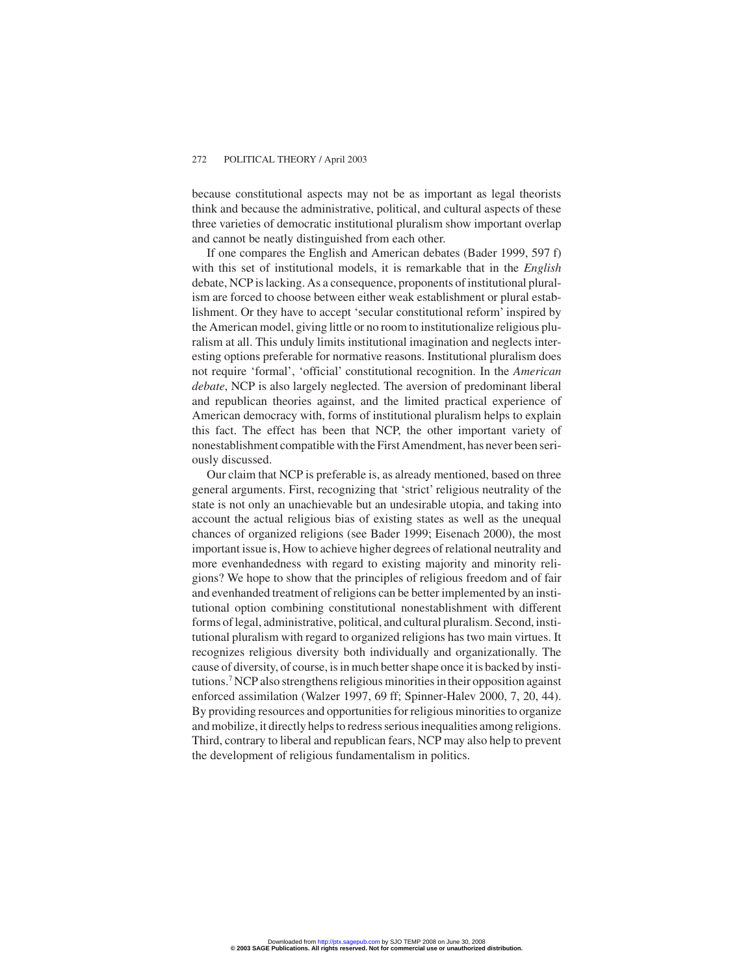because constitutional aspects may not be as important as legal theorists think and because the administrative, political, and cultural aspects of these three varieties of democratic institutional pluralism show important overlap and cannot be neatly distinguished from each other.

If one compares the English and American debates (Bader 1999, 597 f) with this set of institutional models, it is remarkable that in the *English* debate, NCP is lacking. As a consequence, proponents of institutional pluralism are forced to choose between either weak establishment or plural establishment. Or they have to accept 'secular constitutional reform' inspired by the American model, giving little or no room to institutionalize religious pluralism at all. This unduly limits institutional imagination and neglects interesting options preferable for normative reasons. Institutional pluralism does not require 'formal', 'official' constitutional recognition. In the *American debate*, NCP is also largely neglected. The aversion of predominant liberal and republican theories against, and the limited practical experience of American democracy with, forms of institutional pluralism helps to explain this fact. The effect has been that NCP, the other important variety of nonestablishment compatible with the First Amendment, has never been seriously discussed.

Our claim that NCP is preferable is, as already mentioned, based on three general arguments. First, recognizing that 'strict' religious neutrality of the state is not only an unachievable but an undesirable utopia, and taking into account the actual religious bias of existing states as well as the unequal chances of organized religions (see Bader 1999; Eisenach 2000), the most important issue is, How to achieve higher degrees of relational neutrality and more evenhandedness with regard to existing majority and minority religions? We hope to show that the principles of religious freedom and of fair and evenhanded treatment of religions can be better implemented by an institutional option combining constitutional nonestablishment with different forms of legal, administrative, political, and cultural pluralism. Second, institutional pluralism with regard to organized religions has two main virtues. It recognizes religious diversity both individually and organizationally. The cause of diversity, of course, is in much better shape once it is backed by institutions.7 NCP also strengthens religious minorities in their opposition against enforced assimilation (Walzer 1997, 69 ff; Spinner-Halev 2000, 7, 20, 44). By providing resources and opportunities for religious minorities to organize and mobilize, it directly helps to redress serious inequalities among religions. Third, contrary to liberal and republican fears, NCP may also help to prevent the development of religious fundamentalism in politics.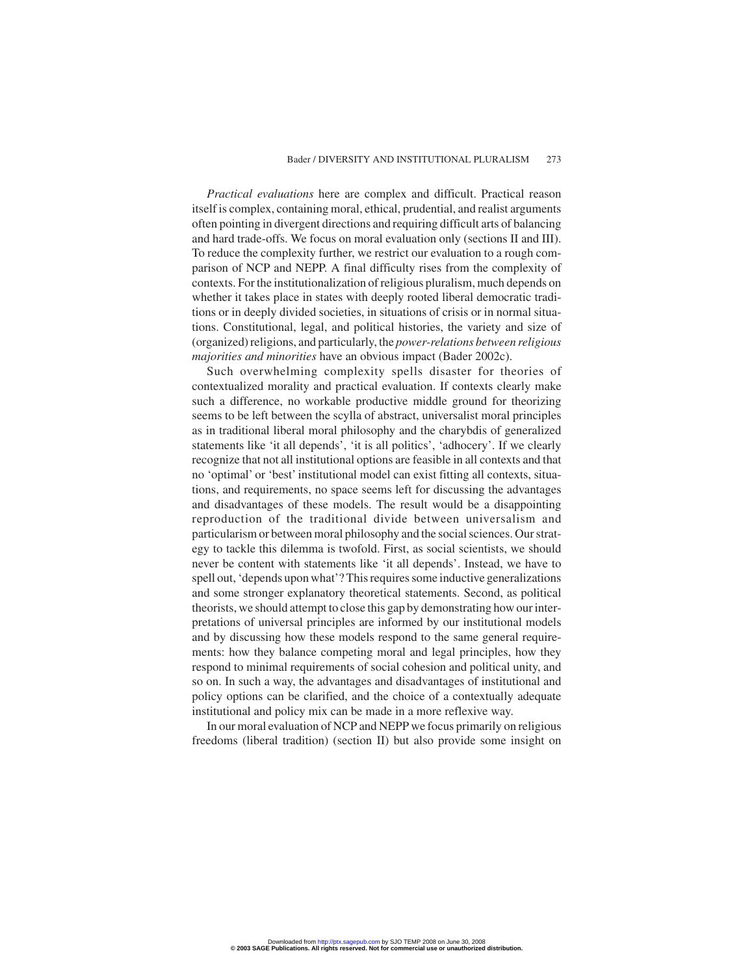*Practical evaluations* here are complex and difficult. Practical reason itself is complex, containing moral, ethical, prudential, and realist arguments often pointing in divergent directions and requiring difficult arts of balancing and hard trade-offs. We focus on moral evaluation only (sections II and III). To reduce the complexity further, we restrict our evaluation to a rough comparison of NCP and NEPP. A final difficulty rises from the complexity of contexts. For the institutionalization of religious pluralism, much depends on whether it takes place in states with deeply rooted liberal democratic traditions or in deeply divided societies, in situations of crisis or in normal situations. Constitutional, legal, and political histories, the variety and size of (organized) religions, and particularly, the *power-relations between religious majorities and minorities* have an obvious impact (Bader 2002c).

Such overwhelming complexity spells disaster for theories of contextualized morality and practical evaluation. If contexts clearly make such a difference, no workable productive middle ground for theorizing seems to be left between the scylla of abstract, universalist moral principles as in traditional liberal moral philosophy and the charybdis of generalized statements like 'it all depends', 'it is all politics', 'adhocery'. If we clearly recognize that not all institutional options are feasible in all contexts and that no 'optimal' or 'best' institutional model can exist fitting all contexts, situations, and requirements, no space seems left for discussing the advantages and disadvantages of these models. The result would be a disappointing reproduction of the traditional divide between universalism and particularism or between moral philosophy and the social sciences. Our strategy to tackle this dilemma is twofold. First, as social scientists, we should never be content with statements like 'it all depends'. Instead, we have to spell out, 'depends upon what'? This requires some inductive generalizations and some stronger explanatory theoretical statements. Second, as political theorists, we should attempt to close this gap by demonstrating how our interpretations of universal principles are informed by our institutional models and by discussing how these models respond to the same general requirements: how they balance competing moral and legal principles, how they respond to minimal requirements of social cohesion and political unity, and so on. In such a way, the advantages and disadvantages of institutional and policy options can be clarified, and the choice of a contextually adequate institutional and policy mix can be made in a more reflexive way.

In our moral evaluation of NCP and NEPP we focus primarily on religious freedoms (liberal tradition) (section II) but also provide some insight on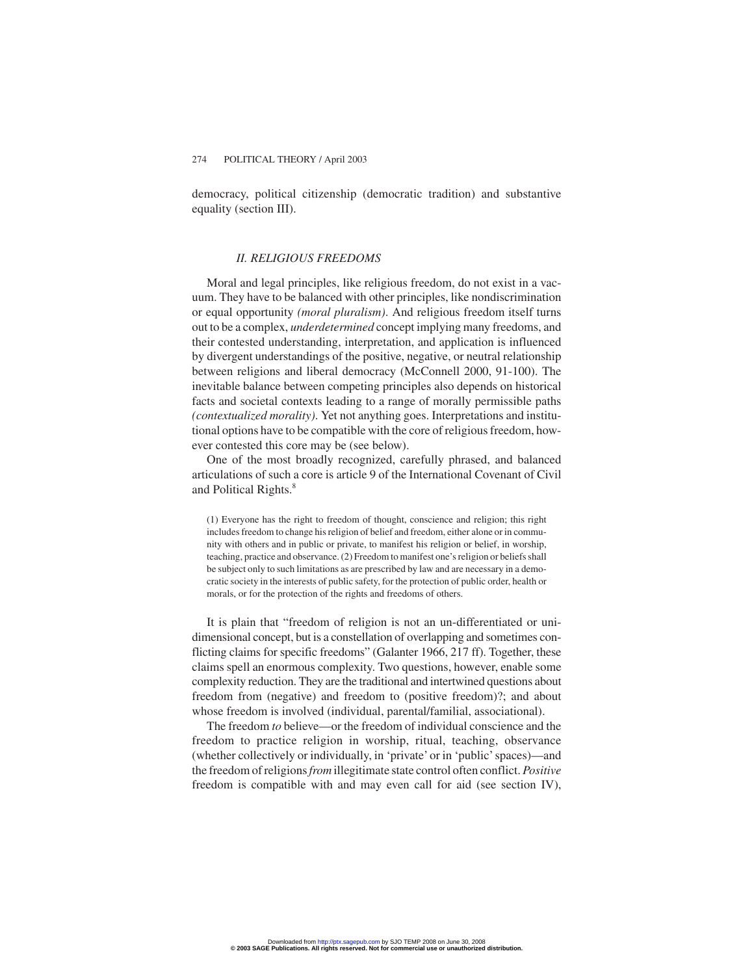democracy, political citizenship (democratic tradition) and substantive equality (section III).

## *II. RELIGIOUS FREEDOMS*

Moral and legal principles, like religious freedom, do not exist in a vacuum. They have to be balanced with other principles, like nondiscrimination or equal opportunity *(moral pluralism)*. And religious freedom itself turns out to be a complex, *underdetermined* concept implying many freedoms, and their contested understanding, interpretation, and application is influenced by divergent understandings of the positive, negative, or neutral relationship between religions and liberal democracy (McConnell 2000, 91-100). The inevitable balance between competing principles also depends on historical facts and societal contexts leading to a range of morally permissible paths *(contextualized morality)*. Yet not anything goes. Interpretations and institutional options have to be compatible with the core of religious freedom, however contested this core may be (see below).

One of the most broadly recognized, carefully phrased, and balanced articulations of such a core is article 9 of the International Covenant of Civil and Political Rights.<sup>8</sup>

(1) Everyone has the right to freedom of thought, conscience and religion; this right includes freedom to change his religion of belief and freedom, either alone or in community with others and in public or private, to manifest his religion or belief, in worship, teaching, practice and observance. (2) Freedom to manifest one's religion or beliefs shall be subject only to such limitations as are prescribed by law and are necessary in a democratic society in the interests of public safety, for the protection of public order, health or morals, or for the protection of the rights and freedoms of others.

It is plain that "freedom of religion is not an un-differentiated or unidimensional concept, but is a constellation of overlapping and sometimes conflicting claims for specific freedoms" (Galanter 1966, 217 ff). Together, these claims spell an enormous complexity. Two questions, however, enable some complexity reduction. They are the traditional and intertwined questions about freedom from (negative) and freedom to (positive freedom)?; and about whose freedom is involved (individual, parental/familial, associational).

The freedom *to* believe—or the freedom of individual conscience and the freedom to practice religion in worship, ritual, teaching, observance (whether collectively or individually, in 'private' or in 'public' spaces)—and the freedom of religions*from* illegitimate state control often conflict. *Positive* freedom is compatible with and may even call for aid (see section IV),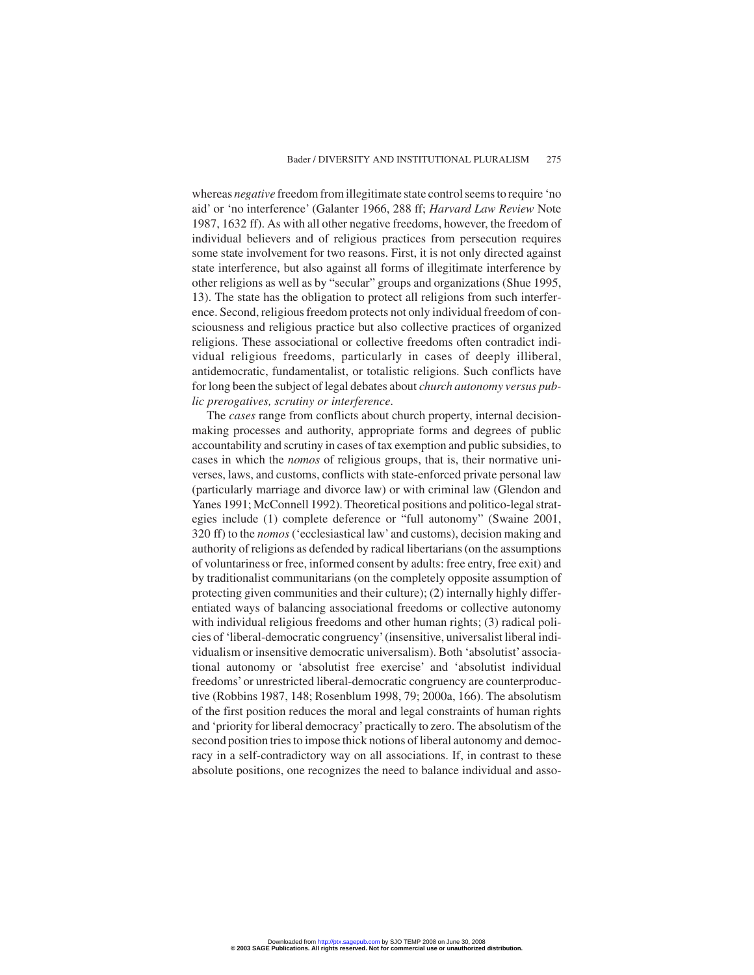whereas *negative* freedom from illegitimate state control seems to require 'no aid' or 'no interference' (Galanter 1966, 288 ff; *Harvard Law Review* Note 1987, 1632 ff). As with all other negative freedoms, however, the freedom of individual believers and of religious practices from persecution requires some state involvement for two reasons. First, it is not only directed against state interference, but also against all forms of illegitimate interference by other religions as well as by "secular" groups and organizations (Shue 1995, 13). The state has the obligation to protect all religions from such interference. Second, religious freedom protects not only individual freedom of consciousness and religious practice but also collective practices of organized religions. These associational or collective freedoms often contradict individual religious freedoms, particularly in cases of deeply illiberal, antidemocratic, fundamentalist, or totalistic religions. Such conflicts have for long been the subject of legal debates about *church autonomy versus public prerogatives, scrutiny or interference*.

The *cases* range from conflicts about church property, internal decisionmaking processes and authority, appropriate forms and degrees of public accountability and scrutiny in cases of tax exemption and public subsidies, to cases in which the *nomos* of religious groups, that is, their normative universes, laws, and customs, conflicts with state-enforced private personal law (particularly marriage and divorce law) or with criminal law (Glendon and Yanes 1991; McConnell 1992). Theoretical positions and politico-legal strategies include (1) complete deference or "full autonomy" (Swaine 2001, 320 ff) to the *nomos* ('ecclesiastical law'and customs), decision making and authority of religions as defended by radical libertarians (on the assumptions of voluntariness or free, informed consent by adults: free entry, free exit) and by traditionalist communitarians (on the completely opposite assumption of protecting given communities and their culture); (2) internally highly differentiated ways of balancing associational freedoms or collective autonomy with individual religious freedoms and other human rights; (3) radical policies of 'liberal-democratic congruency'(insensitive, universalist liberal individualism or insensitive democratic universalism). Both 'absolutist'associational autonomy or 'absolutist free exercise' and 'absolutist individual freedoms'or unrestricted liberal-democratic congruency are counterproductive (Robbins 1987, 148; Rosenblum 1998, 79; 2000a, 166). The absolutism of the first position reduces the moral and legal constraints of human rights and 'priority for liberal democracy'practically to zero. The absolutism of the second position tries to impose thick notions of liberal autonomy and democracy in a self-contradictory way on all associations. If, in contrast to these absolute positions, one recognizes the need to balance individual and asso-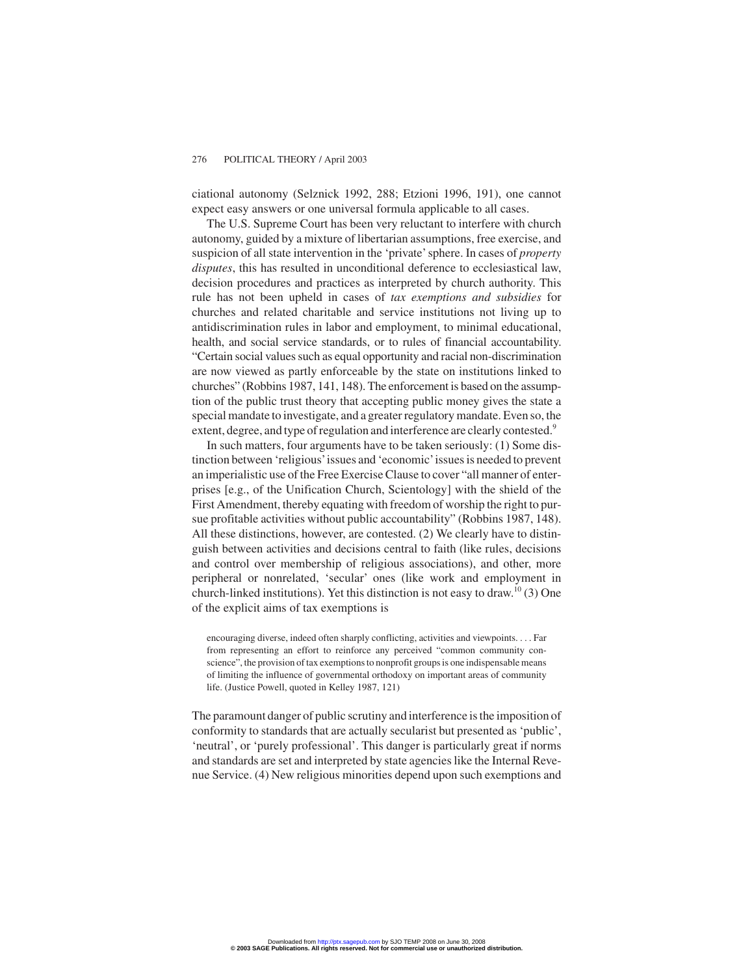ciational autonomy (Selznick 1992, 288; Etzioni 1996, 191), one cannot expect easy answers or one universal formula applicable to all cases.

The U.S. Supreme Court has been very reluctant to interfere with church autonomy, guided by a mixture of libertarian assumptions, free exercise, and suspicion of all state intervention in the 'private' sphere. In cases of *property disputes*, this has resulted in unconditional deference to ecclesiastical law, decision procedures and practices as interpreted by church authority. This rule has not been upheld in cases of *tax exemptions and subsidies* for churches and related charitable and service institutions not living up to antidiscrimination rules in labor and employment, to minimal educational, health, and social service standards, or to rules of financial accountability. "Certain social values such as equal opportunity and racial non-discrimination are now viewed as partly enforceable by the state on institutions linked to churches" (Robbins 1987, 141, 148). The enforcement is based on the assumption of the public trust theory that accepting public money gives the state a special mandate to investigate, and a greater regulatory mandate. Even so, the extent, degree, and type of regulation and interference are clearly contested.<sup>9</sup>

In such matters, four arguments have to be taken seriously: (1) Some distinction between 'religious'issues and 'economic'issues is needed to prevent an imperialistic use of the Free Exercise Clause to cover "all manner of enterprises [e.g., of the Unification Church, Scientology] with the shield of the First Amendment, thereby equating with freedom of worship the right to pursue profitable activities without public accountability" (Robbins 1987, 148). All these distinctions, however, are contested. (2) We clearly have to distinguish between activities and decisions central to faith (like rules, decisions and control over membership of religious associations), and other, more peripheral or nonrelated, 'secular' ones (like work and employment in church-linked institutions). Yet this distinction is not easy to draw.10 (3) One of the explicit aims of tax exemptions is

encouraging diverse, indeed often sharply conflicting, activities and viewpoints. . . . Far from representing an effort to reinforce any perceived "common community conscience", the provision of tax exemptions to nonprofit groups is one indispensable means of limiting the influence of governmental orthodoxy on important areas of community life. (Justice Powell, quoted in Kelley 1987, 121)

The paramount danger of public scrutiny and interference is the imposition of conformity to standards that are actually secularist but presented as 'public', 'neutral', or 'purely professional'. This danger is particularly great if norms and standards are set and interpreted by state agencies like the Internal Revenue Service. (4) New religious minorities depend upon such exemptions and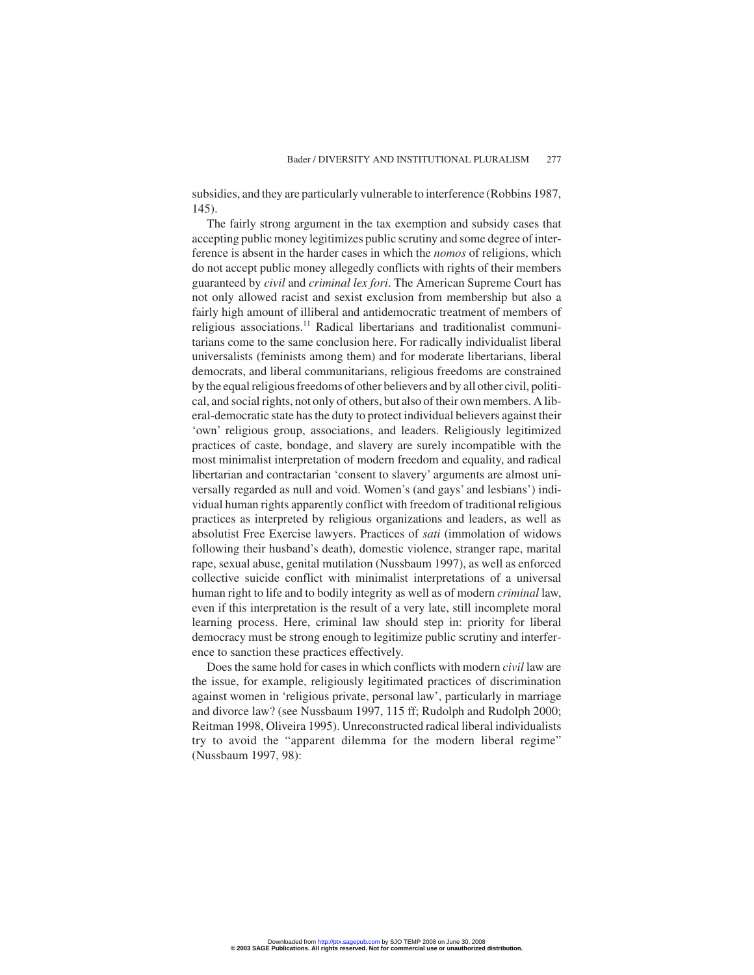subsidies, and they are particularly vulnerable to interference (Robbins 1987, 145).

The fairly strong argument in the tax exemption and subsidy cases that accepting public money legitimizes public scrutiny and some degree of interference is absent in the harder cases in which the *nomos* of religions, which do not accept public money allegedly conflicts with rights of their members guaranteed by *civil* and *criminal lex fori*. The American Supreme Court has not only allowed racist and sexist exclusion from membership but also a fairly high amount of illiberal and antidemocratic treatment of members of religious associations.11 Radical libertarians and traditionalist communitarians come to the same conclusion here. For radically individualist liberal universalists (feminists among them) and for moderate libertarians, liberal democrats, and liberal communitarians, religious freedoms are constrained by the equal religious freedoms of other believers and by all other civil, political, and social rights, not only of others, but also of their own members. A liberal-democratic state has the duty to protect individual believers against their 'own' religious group, associations, and leaders. Religiously legitimized practices of caste, bondage, and slavery are surely incompatible with the most minimalist interpretation of modern freedom and equality, and radical libertarian and contractarian 'consent to slavery' arguments are almost universally regarded as null and void. Women's (and gays' and lesbians') individual human rights apparently conflict with freedom of traditional religious practices as interpreted by religious organizations and leaders, as well as absolutist Free Exercise lawyers. Practices of *sati* (immolation of widows following their husband's death), domestic violence, stranger rape, marital rape, sexual abuse, genital mutilation (Nussbaum 1997), as well as enforced collective suicide conflict with minimalist interpretations of a universal human right to life and to bodily integrity as well as of modern *criminal* law, even if this interpretation is the result of a very late, still incomplete moral learning process. Here, criminal law should step in: priority for liberal democracy must be strong enough to legitimize public scrutiny and interference to sanction these practices effectively.

Does the same hold for cases in which conflicts with modern *civil* law are the issue, for example, religiously legitimated practices of discrimination against women in 'religious private, personal law', particularly in marriage and divorce law? (see Nussbaum 1997, 115 ff; Rudolph and Rudolph 2000; Reitman 1998, Oliveira 1995). Unreconstructed radical liberal individualists try to avoid the "apparent dilemma for the modern liberal regime" (Nussbaum 1997, 98):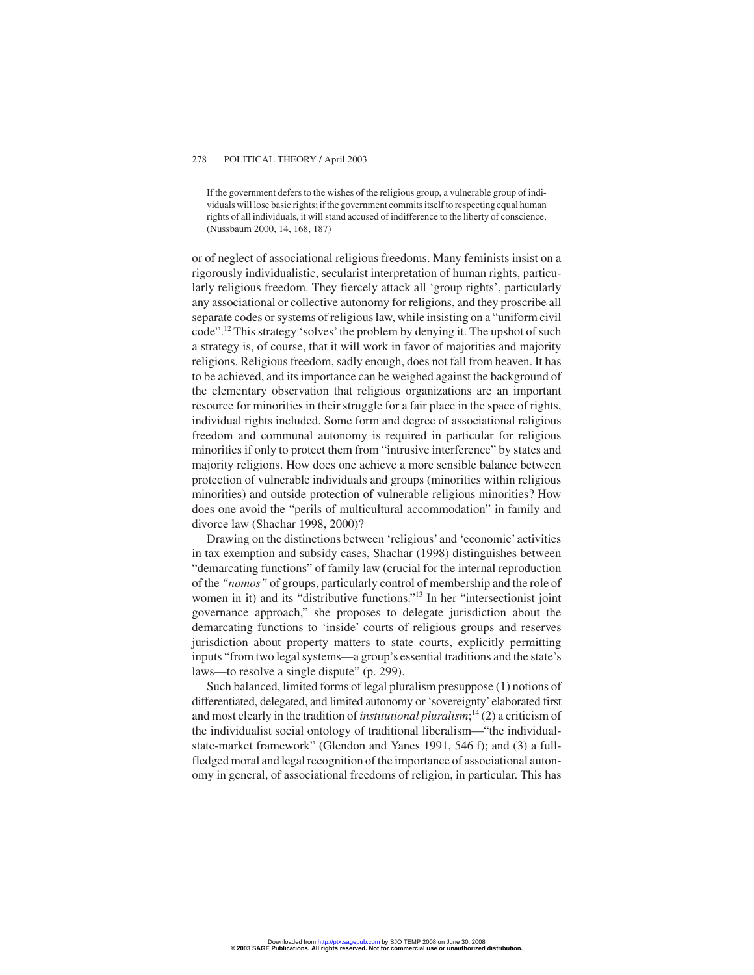If the government defers to the wishes of the religious group, a vulnerable group of individuals will lose basic rights; if the government commits itself to respecting equal human rights of all individuals, it will stand accused of indifference to the liberty of conscience, (Nussbaum 2000, 14, 168, 187)

or of neglect of associational religious freedoms. Many feminists insist on a rigorously individualistic, secularist interpretation of human rights, particularly religious freedom. They fiercely attack all 'group rights', particularly any associational or collective autonomy for religions, and they proscribe all separate codes or systems of religious law, while insisting on a "uniform civil code".12 This strategy 'solves' the problem by denying it. The upshot of such a strategy is, of course, that it will work in favor of majorities and majority religions. Religious freedom, sadly enough, does not fall from heaven. It has to be achieved, and its importance can be weighed against the background of the elementary observation that religious organizations are an important resource for minorities in their struggle for a fair place in the space of rights, individual rights included. Some form and degree of associational religious freedom and communal autonomy is required in particular for religious minorities if only to protect them from "intrusive interference" by states and majority religions. How does one achieve a more sensible balance between protection of vulnerable individuals and groups (minorities within religious minorities) and outside protection of vulnerable religious minorities? How does one avoid the "perils of multicultural accommodation" in family and divorce law (Shachar 1998, 2000)?

Drawing on the distinctions between 'religious'and 'economic'activities in tax exemption and subsidy cases, Shachar (1998) distinguishes between "demarcating functions" of family law (crucial for the internal reproduction of the *"nomos"* of groups, particularly control of membership and the role of women in it) and its "distributive functions."13 In her "intersectionist joint governance approach," she proposes to delegate jurisdiction about the demarcating functions to 'inside' courts of religious groups and reserves jurisdiction about property matters to state courts, explicitly permitting inputs "from two legal systems—a group's essential traditions and the state's laws—to resolve a single dispute" (p. 299).

Such balanced, limited forms of legal pluralism presuppose (1) notions of differentiated, delegated, and limited autonomy or 'sovereignty'elaborated first and most clearly in the tradition of *institutional pluralism*; <sup>14</sup> (2) a criticism of the individualist social ontology of traditional liberalism—"the individualstate-market framework" (Glendon and Yanes 1991, 546 f); and (3) a fullfledged moral and legal recognition of the importance of associational autonomy in general, of associational freedoms of religion, in particular. This has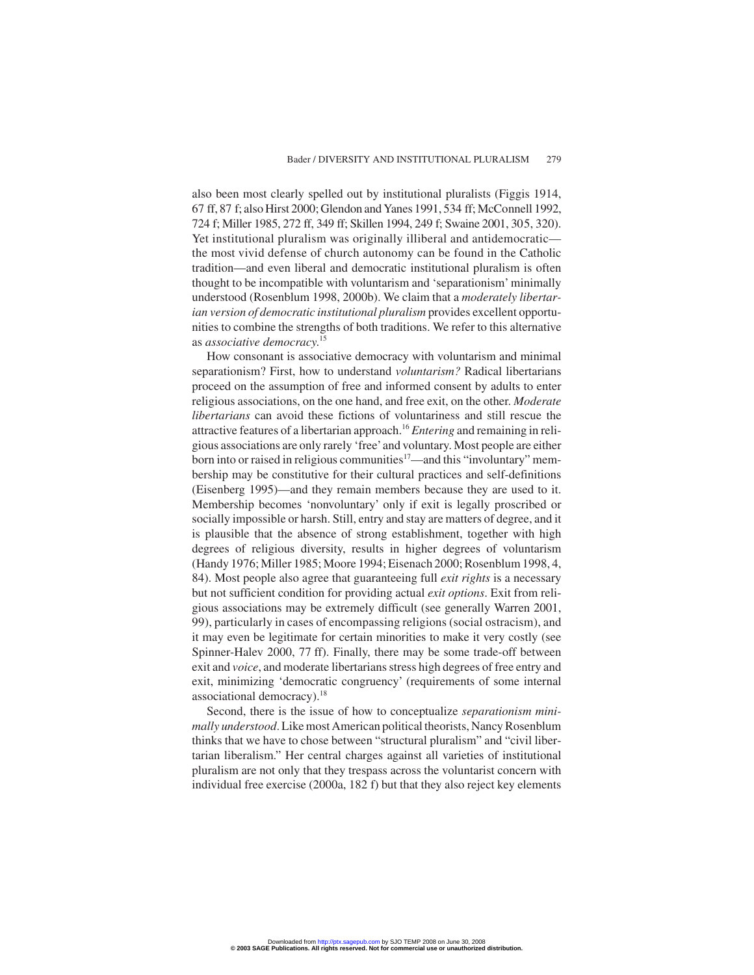also been most clearly spelled out by institutional pluralists (Figgis 1914, 67 ff, 87 f; also Hirst 2000; Glendon and Yanes 1991, 534 ff; McConnell 1992, 724 f; Miller 1985, 272 ff, 349 ff; Skillen 1994, 249 f; Swaine 2001, 305, 320). Yet institutional pluralism was originally illiberal and antidemocratic the most vivid defense of church autonomy can be found in the Catholic tradition—and even liberal and democratic institutional pluralism is often thought to be incompatible with voluntarism and 'separationism' minimally understood (Rosenblum 1998, 2000b). We claim that a *moderately libertarian version of democratic institutional pluralism* provides excellent opportunities to combine the strengths of both traditions. We refer to this alternative as *associative democracy*. 15

How consonant is associative democracy with voluntarism and minimal separationism? First, how to understand *voluntarism?* Radical libertarians proceed on the assumption of free and informed consent by adults to enter religious associations, on the one hand, and free exit, on the other. *Moderate libertarians* can avoid these fictions of voluntariness and still rescue the attractive features of a libertarian approach.16 *Entering* and remaining in religious associations are only rarely 'free'and voluntary. Most people are either born into or raised in religious communities<sup>17</sup>—and this "involuntary" membership may be constitutive for their cultural practices and self-definitions (Eisenberg 1995)—and they remain members because they are used to it. Membership becomes 'nonvoluntary' only if exit is legally proscribed or socially impossible or harsh. Still, entry and stay are matters of degree, and it is plausible that the absence of strong establishment, together with high degrees of religious diversity, results in higher degrees of voluntarism (Handy 1976; Miller 1985; Moore 1994; Eisenach 2000; Rosenblum 1998, 4, 84). Most people also agree that guaranteeing full *exit rights* is a necessary but not sufficient condition for providing actual *exit options*. Exit from religious associations may be extremely difficult (see generally Warren 2001, 99), particularly in cases of encompassing religions (social ostracism), and it may even be legitimate for certain minorities to make it very costly (see Spinner-Halev 2000, 77 ff). Finally, there may be some trade-off between exit and *voice*, and moderate libertarians stress high degrees of free entry and exit, minimizing 'democratic congruency' (requirements of some internal associational democracy).<sup>18</sup>

Second, there is the issue of how to conceptualize *separationism minimally understood*. Like most American political theorists, Nancy Rosenblum thinks that we have to chose between "structural pluralism" and "civil libertarian liberalism." Her central charges against all varieties of institutional pluralism are not only that they trespass across the voluntarist concern with individual free exercise (2000a, 182 f) but that they also reject key elements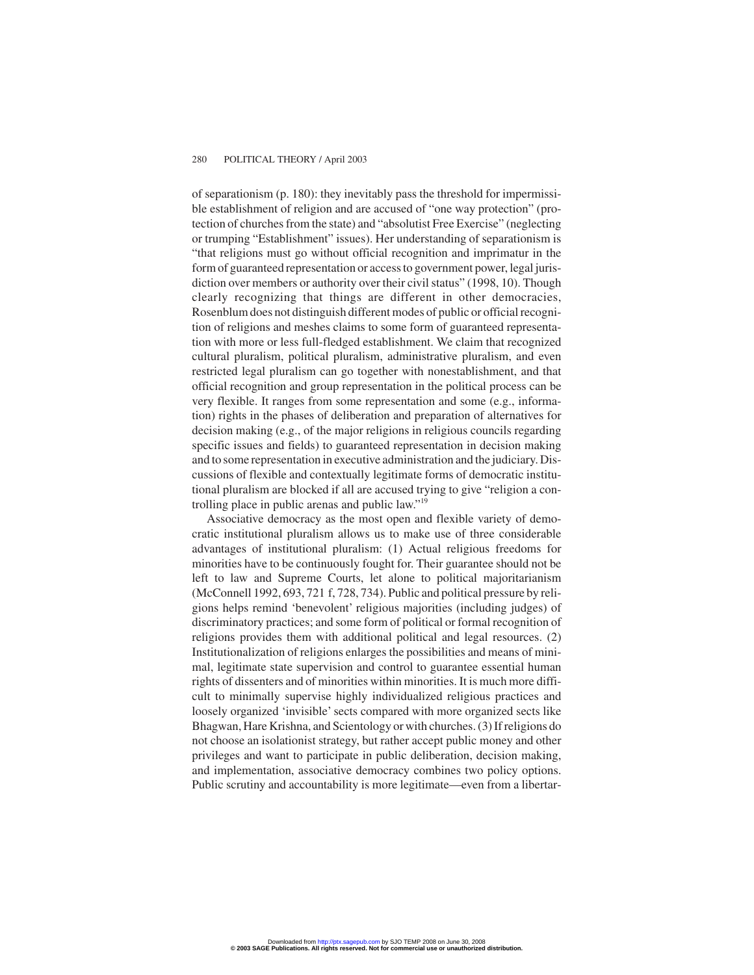of separationism (p. 180): they inevitably pass the threshold for impermissible establishment of religion and are accused of "one way protection" (protection of churches from the state) and "absolutist Free Exercise" (neglecting or trumping "Establishment" issues). Her understanding of separationism is "that religions must go without official recognition and imprimatur in the form of guaranteed representation or access to government power, legal jurisdiction over members or authority over their civil status" (1998, 10). Though clearly recognizing that things are different in other democracies, Rosenblum does not distinguish different modes of public or official recognition of religions and meshes claims to some form of guaranteed representation with more or less full-fledged establishment. We claim that recognized cultural pluralism, political pluralism, administrative pluralism, and even restricted legal pluralism can go together with nonestablishment, and that official recognition and group representation in the political process can be very flexible. It ranges from some representation and some (e.g., information) rights in the phases of deliberation and preparation of alternatives for decision making (e.g., of the major religions in religious councils regarding specific issues and fields) to guaranteed representation in decision making and to some representation in executive administration and the judiciary. Discussions of flexible and contextually legitimate forms of democratic institutional pluralism are blocked if all are accused trying to give "religion a controlling place in public arenas and public law."19

Associative democracy as the most open and flexible variety of democratic institutional pluralism allows us to make use of three considerable advantages of institutional pluralism: (1) Actual religious freedoms for minorities have to be continuously fought for. Their guarantee should not be left to law and Supreme Courts, let alone to political majoritarianism (McConnell 1992, 693, 721 f, 728, 734). Public and political pressure by religions helps remind 'benevolent' religious majorities (including judges) of discriminatory practices; and some form of political or formal recognition of religions provides them with additional political and legal resources. (2) Institutionalization of religions enlarges the possibilities and means of minimal, legitimate state supervision and control to guarantee essential human rights of dissenters and of minorities within minorities. It is much more difficult to minimally supervise highly individualized religious practices and loosely organized 'invisible' sects compared with more organized sects like Bhagwan, Hare Krishna, and Scientology or with churches. (3) If religions do not choose an isolationist strategy, but rather accept public money and other privileges and want to participate in public deliberation, decision making, and implementation, associative democracy combines two policy options. Public scrutiny and accountability is more legitimate—even from a libertar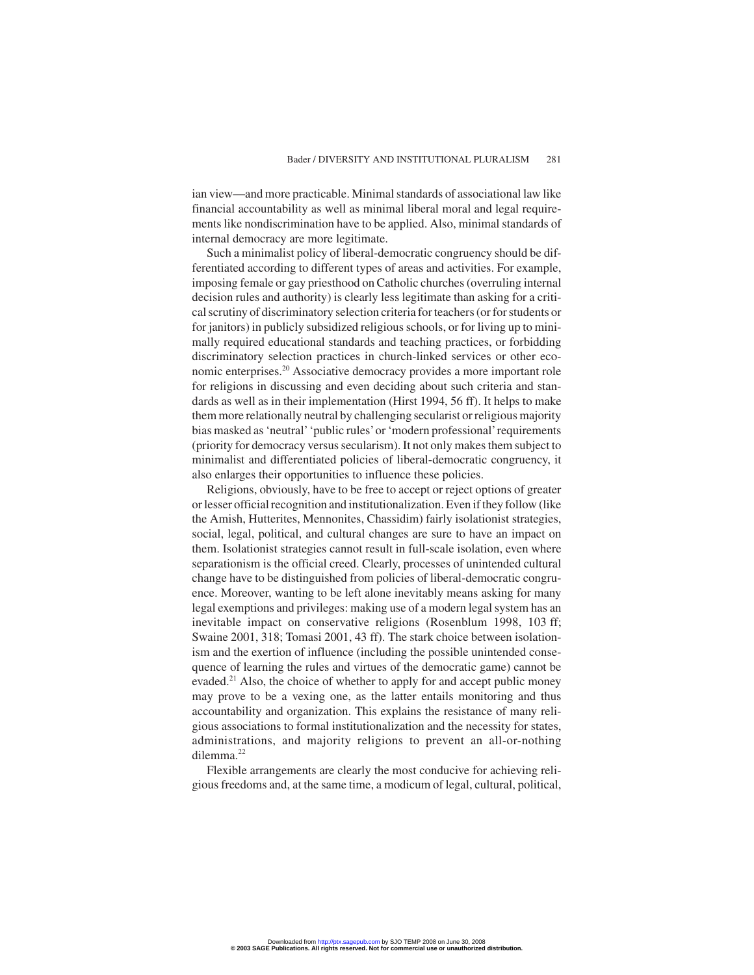ian view—and more practicable. Minimal standards of associational law like financial accountability as well as minimal liberal moral and legal requirements like nondiscrimination have to be applied. Also, minimal standards of internal democracy are more legitimate.

Such a minimalist policy of liberal-democratic congruency should be differentiated according to different types of areas and activities. For example, imposing female or gay priesthood on Catholic churches (overruling internal decision rules and authority) is clearly less legitimate than asking for a critical scrutiny of discriminatory selection criteria for teachers (or for students or for janitors) in publicly subsidized religious schools, or for living up to minimally required educational standards and teaching practices, or forbidding discriminatory selection practices in church-linked services or other economic enterprises.20 Associative democracy provides a more important role for religions in discussing and even deciding about such criteria and standards as well as in their implementation (Hirst 1994, 56 ff). It helps to make them more relationally neutral by challenging secularist or religious majority bias masked as 'neutral' 'public rules' or 'modern professional' requirements (priority for democracy versus secularism). It not only makes them subject to minimalist and differentiated policies of liberal-democratic congruency, it also enlarges their opportunities to influence these policies.

Religions, obviously, have to be free to accept or reject options of greater or lesser official recognition and institutionalization. Even if they follow (like the Amish, Hutterites, Mennonites, Chassidim) fairly isolationist strategies, social, legal, political, and cultural changes are sure to have an impact on them. Isolationist strategies cannot result in full-scale isolation, even where separationism is the official creed. Clearly, processes of unintended cultural change have to be distinguished from policies of liberal-democratic congruence. Moreover, wanting to be left alone inevitably means asking for many legal exemptions and privileges: making use of a modern legal system has an inevitable impact on conservative religions (Rosenblum 1998, 103 ff; Swaine 2001, 318; Tomasi 2001, 43 ff). The stark choice between isolationism and the exertion of influence (including the possible unintended consequence of learning the rules and virtues of the democratic game) cannot be evaded.<sup>21</sup> Also, the choice of whether to apply for and accept public money may prove to be a vexing one, as the latter entails monitoring and thus accountability and organization. This explains the resistance of many religious associations to formal institutionalization and the necessity for states, administrations, and majority religions to prevent an all-or-nothing dilemma.<sup>22</sup>

Flexible arrangements are clearly the most conducive for achieving religious freedoms and, at the same time, a modicum of legal, cultural, political,

**© 2003 SAGE Publications. All rights reserved. Not for commercial use or unauthorized distribution.** Downloaded from<http://ptx.sagepub.com>by SJO TEMP 2008 on June 30, 2008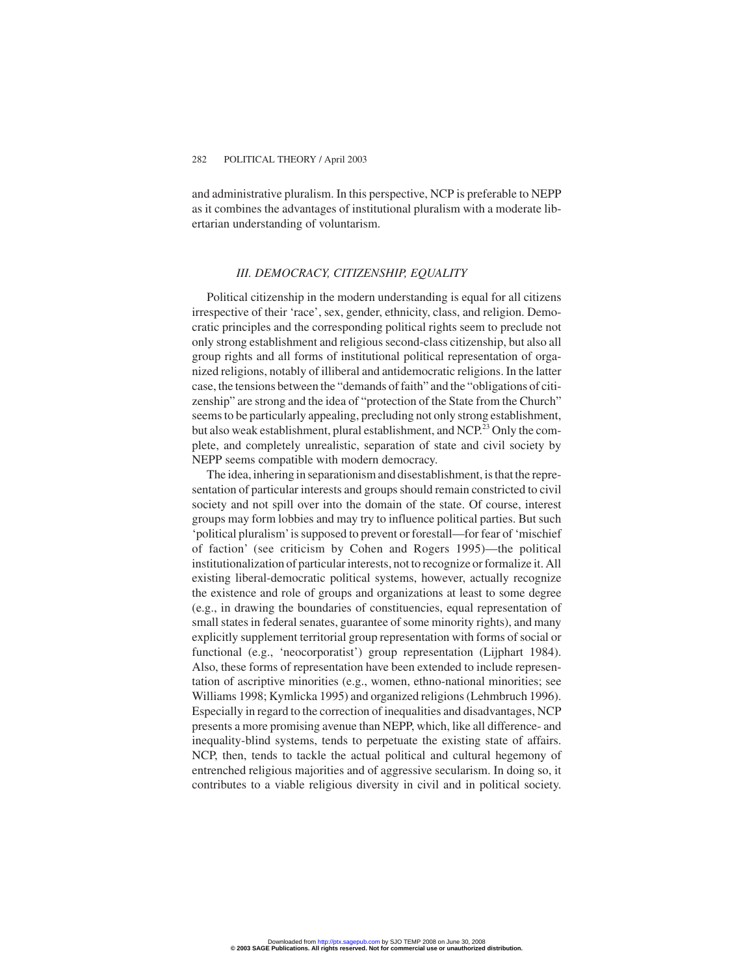and administrative pluralism. In this perspective, NCP is preferable to NEPP as it combines the advantages of institutional pluralism with a moderate libertarian understanding of voluntarism.

## *III. DEMOCRACY, CITIZENSHIP, EQUALITY*

Political citizenship in the modern understanding is equal for all citizens irrespective of their 'race', sex, gender, ethnicity, class, and religion. Democratic principles and the corresponding political rights seem to preclude not only strong establishment and religious second-class citizenship, but also all group rights and all forms of institutional political representation of organized religions, notably of illiberal and antidemocratic religions. In the latter case, the tensions between the "demands of faith" and the "obligations of citizenship" are strong and the idea of "protection of the State from the Church" seems to be particularly appealing, precluding not only strong establishment, but also weak establishment, plural establishment, and NCP.<sup>23</sup> Only the complete, and completely unrealistic, separation of state and civil society by NEPP seems compatible with modern democracy.

The idea, inhering in separationism and disestablishment, is that the representation of particular interests and groups should remain constricted to civil society and not spill over into the domain of the state. Of course, interest groups may form lobbies and may try to influence political parties. But such 'political pluralism'is supposed to prevent or forestall—for fear of 'mischief of faction' (see criticism by Cohen and Rogers 1995)—the political institutionalization of particular interests, not to recognize or formalize it. All existing liberal-democratic political systems, however, actually recognize the existence and role of groups and organizations at least to some degree (e.g., in drawing the boundaries of constituencies, equal representation of small states in federal senates, guarantee of some minority rights), and many explicitly supplement territorial group representation with forms of social or functional (e.g., 'neocorporatist') group representation (Lijphart 1984). Also, these forms of representation have been extended to include representation of ascriptive minorities (e.g., women, ethno-national minorities; see Williams 1998; Kymlicka 1995) and organized religions (Lehmbruch 1996). Especially in regard to the correction of inequalities and disadvantages, NCP presents a more promising avenue than NEPP, which, like all difference- and inequality-blind systems, tends to perpetuate the existing state of affairs. NCP, then, tends to tackle the actual political and cultural hegemony of entrenched religious majorities and of aggressive secularism. In doing so, it contributes to a viable religious diversity in civil and in political society.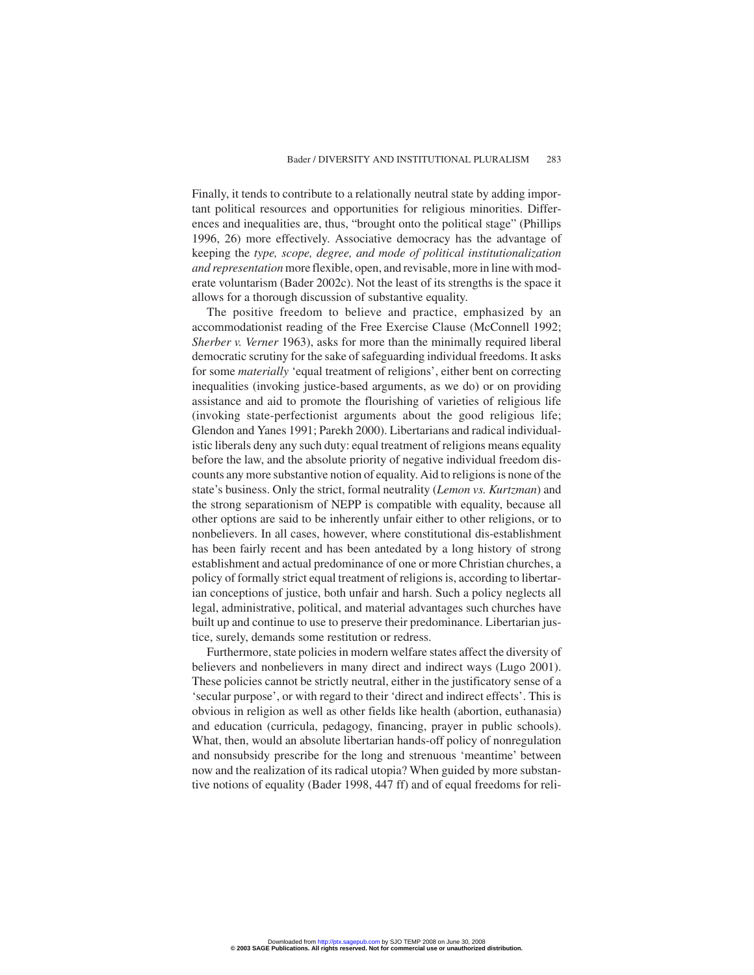Finally, it tends to contribute to a relationally neutral state by adding important political resources and opportunities for religious minorities. Differences and inequalities are, thus, "brought onto the political stage" (Phillips 1996, 26) more effectively. Associative democracy has the advantage of keeping the *type, scope, degree, and mode of political institutionalization and representation*more flexible, open, and revisable, more in line with moderate voluntarism (Bader 2002c). Not the least of its strengths is the space it allows for a thorough discussion of substantive equality.

The positive freedom to believe and practice, emphasized by an accommodationist reading of the Free Exercise Clause (McConnell 1992; *Sherber v. Verner* 1963), asks for more than the minimally required liberal democratic scrutiny for the sake of safeguarding individual freedoms. It asks for some *materially* 'equal treatment of religions', either bent on correcting inequalities (invoking justice-based arguments, as we do) or on providing assistance and aid to promote the flourishing of varieties of religious life (invoking state-perfectionist arguments about the good religious life; Glendon and Yanes 1991; Parekh 2000). Libertarians and radical individualistic liberals deny any such duty: equal treatment of religions means equality before the law, and the absolute priority of negative individual freedom discounts any more substantive notion of equality. Aid to religions is none of the state's business. Only the strict, formal neutrality (*Lemon vs. Kurtzman*) and the strong separationism of NEPP is compatible with equality, because all other options are said to be inherently unfair either to other religions, or to nonbelievers. In all cases, however, where constitutional dis-establishment has been fairly recent and has been antedated by a long history of strong establishment and actual predominance of one or more Christian churches, a policy of formally strict equal treatment of religions is, according to libertarian conceptions of justice, both unfair and harsh. Such a policy neglects all legal, administrative, political, and material advantages such churches have built up and continue to use to preserve their predominance. Libertarian justice, surely, demands some restitution or redress.

Furthermore, state policies in modern welfare states affect the diversity of believers and nonbelievers in many direct and indirect ways (Lugo 2001). These policies cannot be strictly neutral, either in the justificatory sense of a 'secular purpose', or with regard to their 'direct and indirect effects'. This is obvious in religion as well as other fields like health (abortion, euthanasia) and education (curricula, pedagogy, financing, prayer in public schools). What, then, would an absolute libertarian hands-off policy of nonregulation and nonsubsidy prescribe for the long and strenuous 'meantime' between now and the realization of its radical utopia? When guided by more substantive notions of equality (Bader 1998, 447 ff) and of equal freedoms for reli-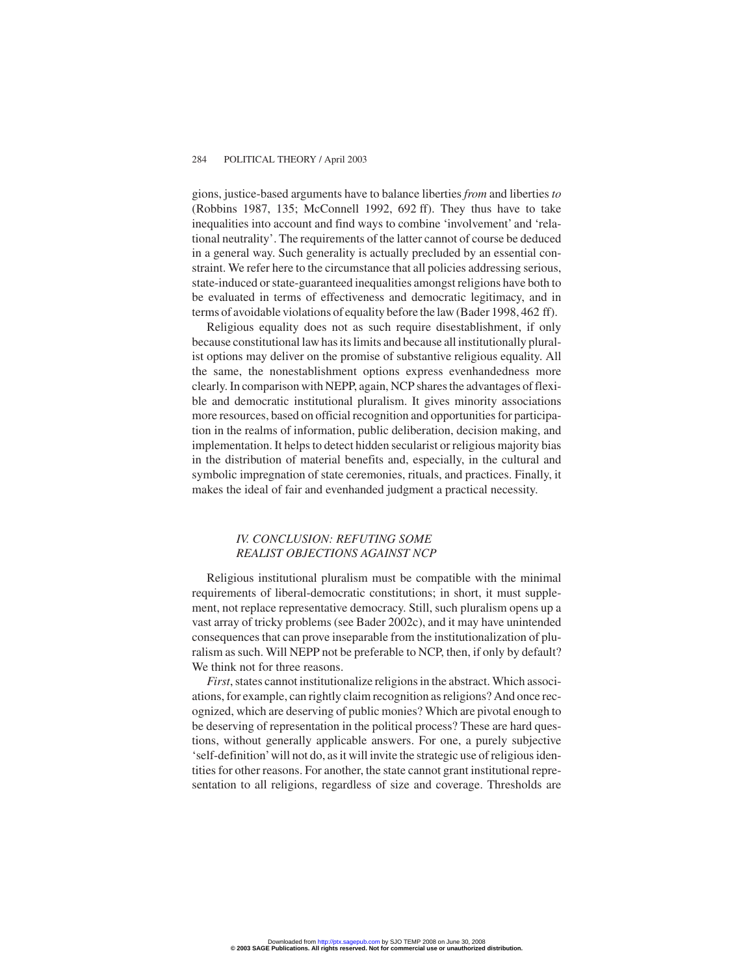gions, justice-based arguments have to balance liberties *from* and liberties *to* (Robbins 1987, 135; McConnell 1992, 692 ff). They thus have to take inequalities into account and find ways to combine 'involvement' and 'relational neutrality'. The requirements of the latter cannot of course be deduced in a general way. Such generality is actually precluded by an essential constraint. We refer here to the circumstance that all policies addressing serious, state-induced or state-guaranteed inequalities amongst religions have both to be evaluated in terms of effectiveness and democratic legitimacy, and in terms of avoidable violations of equality before the law (Bader 1998, 462 ff).

Religious equality does not as such require disestablishment, if only because constitutional law has its limits and because all institutionally pluralist options may deliver on the promise of substantive religious equality. All the same, the nonestablishment options express evenhandedness more clearly. In comparison with NEPP, again, NCP shares the advantages of flexible and democratic institutional pluralism. It gives minority associations more resources, based on official recognition and opportunities for participation in the realms of information, public deliberation, decision making, and implementation. It helps to detect hidden secularist or religious majority bias in the distribution of material benefits and, especially, in the cultural and symbolic impregnation of state ceremonies, rituals, and practices. Finally, it makes the ideal of fair and evenhanded judgment a practical necessity.

# *IV. CONCLUSION: REFUTING SOME REALIST OBJECTIONS AGAINST NCP*

Religious institutional pluralism must be compatible with the minimal requirements of liberal-democratic constitutions; in short, it must supplement, not replace representative democracy. Still, such pluralism opens up a vast array of tricky problems (see Bader 2002c), and it may have unintended consequences that can prove inseparable from the institutionalization of pluralism as such. Will NEPP not be preferable to NCP, then, if only by default? We think not for three reasons.

*First*, states cannot institutionalize religions in the abstract. Which associations, for example, can rightly claim recognition as religions? And once recognized, which are deserving of public monies? Which are pivotal enough to be deserving of representation in the political process? These are hard questions, without generally applicable answers. For one, a purely subjective 'self-definition'will not do, as it will invite the strategic use of religious identities for other reasons. For another, the state cannot grant institutional representation to all religions, regardless of size and coverage. Thresholds are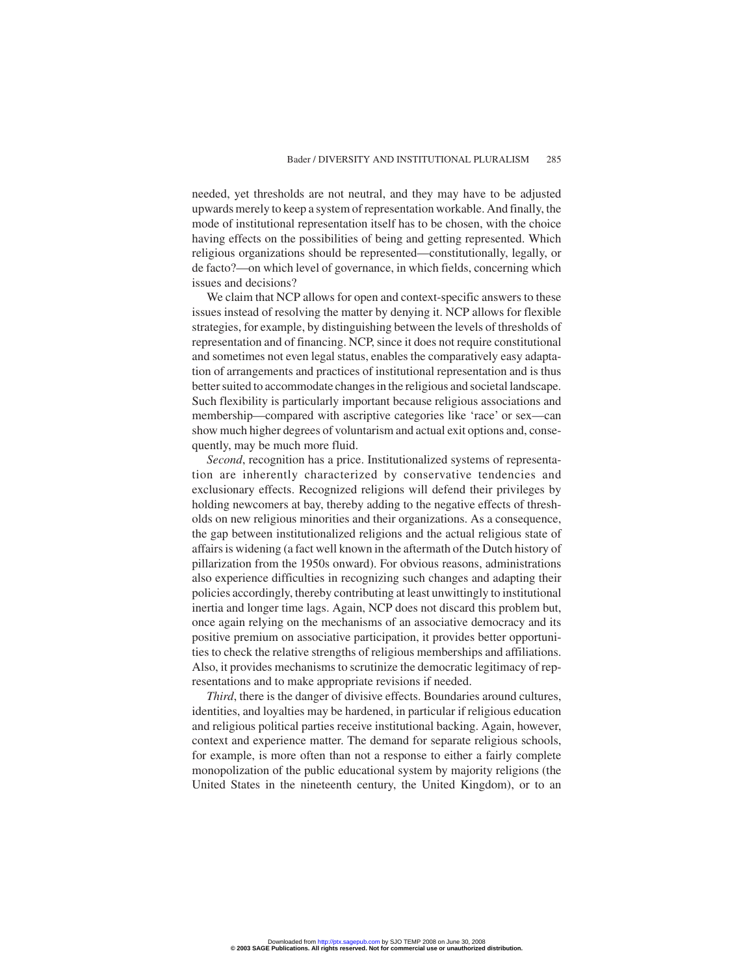needed, yet thresholds are not neutral, and they may have to be adjusted upwards merely to keep a system of representation workable. And finally, the mode of institutional representation itself has to be chosen, with the choice having effects on the possibilities of being and getting represented. Which religious organizations should be represented—constitutionally, legally, or de facto?—on which level of governance, in which fields, concerning which issues and decisions?

We claim that NCP allows for open and context-specific answers to these issues instead of resolving the matter by denying it. NCP allows for flexible strategies, for example, by distinguishing between the levels of thresholds of representation and of financing. NCP, since it does not require constitutional and sometimes not even legal status, enables the comparatively easy adaptation of arrangements and practices of institutional representation and is thus better suited to accommodate changes in the religious and societal landscape. Such flexibility is particularly important because religious associations and membership—compared with ascriptive categories like 'race' or sex—can show much higher degrees of voluntarism and actual exit options and, consequently, may be much more fluid.

*Second*, recognition has a price. Institutionalized systems of representation are inherently characterized by conservative tendencies and exclusionary effects. Recognized religions will defend their privileges by holding newcomers at bay, thereby adding to the negative effects of thresholds on new religious minorities and their organizations. As a consequence, the gap between institutionalized religions and the actual religious state of affairs is widening (a fact well known in the aftermath of the Dutch history of pillarization from the 1950s onward). For obvious reasons, administrations also experience difficulties in recognizing such changes and adapting their policies accordingly, thereby contributing at least unwittingly to institutional inertia and longer time lags. Again, NCP does not discard this problem but, once again relying on the mechanisms of an associative democracy and its positive premium on associative participation, it provides better opportunities to check the relative strengths of religious memberships and affiliations. Also, it provides mechanisms to scrutinize the democratic legitimacy of representations and to make appropriate revisions if needed.

*Third*, there is the danger of divisive effects. Boundaries around cultures, identities, and loyalties may be hardened, in particular if religious education and religious political parties receive institutional backing. Again, however, context and experience matter. The demand for separate religious schools, for example, is more often than not a response to either a fairly complete monopolization of the public educational system by majority religions (the United States in the nineteenth century, the United Kingdom), or to an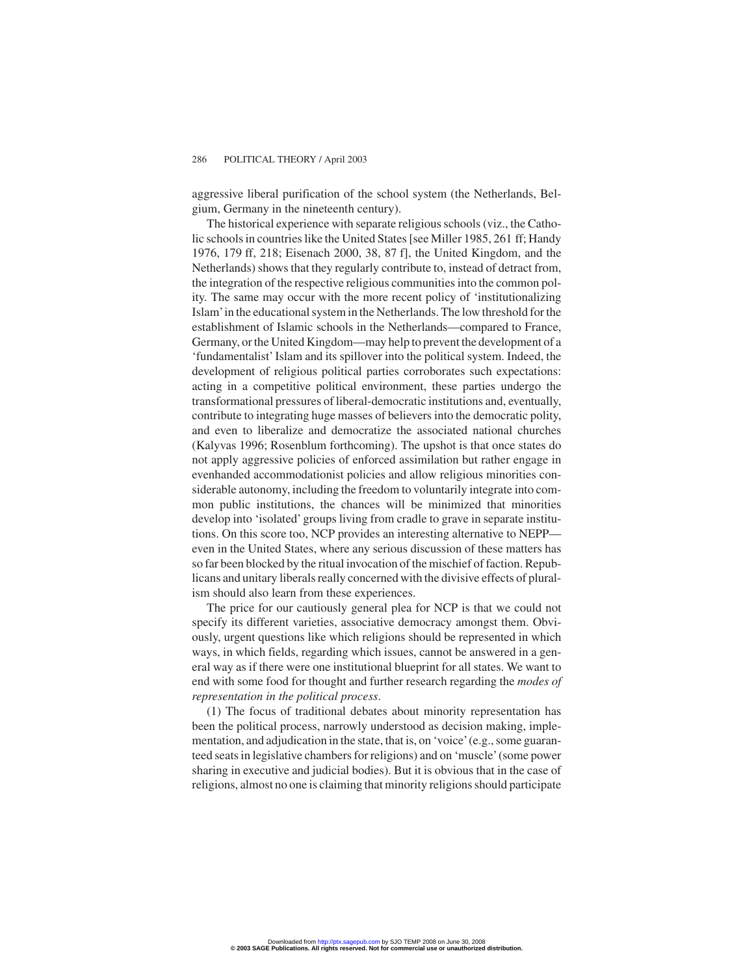aggressive liberal purification of the school system (the Netherlands, Belgium, Germany in the nineteenth century).

The historical experience with separate religious schools (viz., the Catholic schools in countries like the United States [see Miller 1985, 261 ff; Handy 1976, 179 ff, 218; Eisenach 2000, 38, 87 f], the United Kingdom, and the Netherlands) shows that they regularly contribute to, instead of detract from, the integration of the respective religious communities into the common polity. The same may occur with the more recent policy of 'institutionalizing Islam'in the educational system in the Netherlands. The low threshold for the establishment of Islamic schools in the Netherlands—compared to France, Germany, or the United Kingdom—may help to prevent the development of a 'fundamentalist' Islam and its spillover into the political system. Indeed, the development of religious political parties corroborates such expectations: acting in a competitive political environment, these parties undergo the transformational pressures of liberal-democratic institutions and, eventually, contribute to integrating huge masses of believers into the democratic polity, and even to liberalize and democratize the associated national churches (Kalyvas 1996; Rosenblum forthcoming). The upshot is that once states do not apply aggressive policies of enforced assimilation but rather engage in evenhanded accommodationist policies and allow religious minorities considerable autonomy, including the freedom to voluntarily integrate into common public institutions, the chances will be minimized that minorities develop into 'isolated' groups living from cradle to grave in separate institutions. On this score too, NCP provides an interesting alternative to NEPP even in the United States, where any serious discussion of these matters has so far been blocked by the ritual invocation of the mischief of faction. Republicans and unitary liberals really concerned with the divisive effects of pluralism should also learn from these experiences.

The price for our cautiously general plea for NCP is that we could not specify its different varieties, associative democracy amongst them. Obviously, urgent questions like which religions should be represented in which ways, in which fields, regarding which issues, cannot be answered in a general way as if there were one institutional blueprint for all states. We want to end with some food for thought and further research regarding the *modes of representation in the political process*.

(1) The focus of traditional debates about minority representation has been the political process, narrowly understood as decision making, implementation, and adjudication in the state, that is, on 'voice'(e.g., some guaranteed seats in legislative chambers for religions) and on 'muscle'(some power sharing in executive and judicial bodies). But it is obvious that in the case of religions, almost no one is claiming that minority religions should participate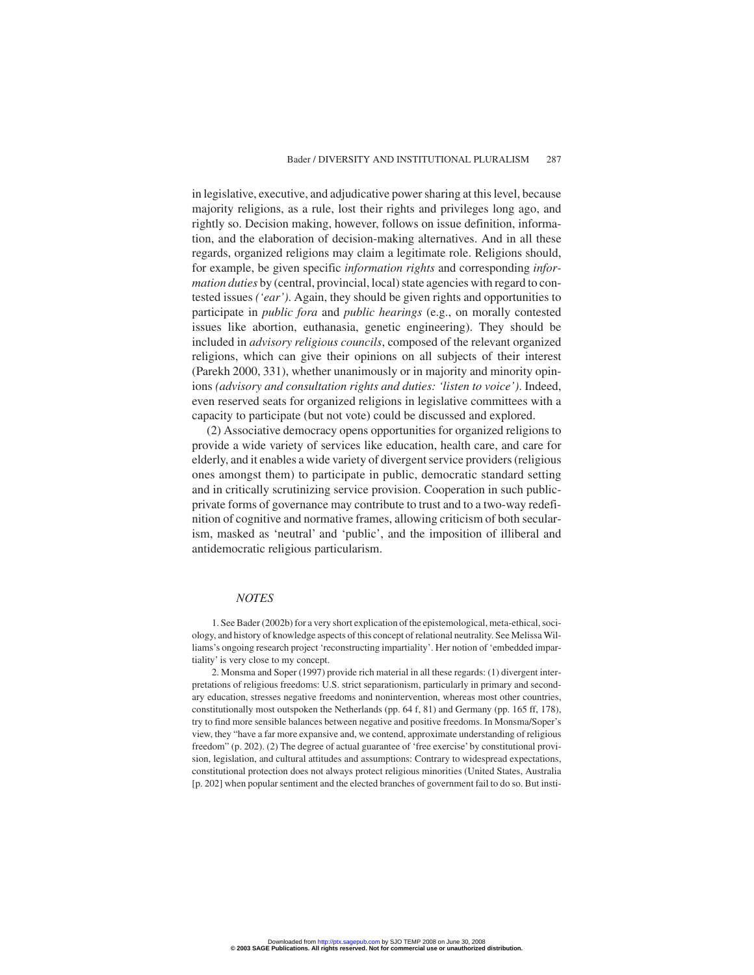in legislative, executive, and adjudicative power sharing at this level, because majority religions, as a rule, lost their rights and privileges long ago, and rightly so. Decision making, however, follows on issue definition, information, and the elaboration of decision-making alternatives. And in all these regards, organized religions may claim a legitimate role. Religions should, for example, be given specific *information rights* and corresponding *information duties* by (central, provincial, local) state agencies with regard to contested issues *('ear')*. Again, they should be given rights and opportunities to participate in *public fora* and *public hearings* (e.g., on morally contested issues like abortion, euthanasia, genetic engineering). They should be included in *advisory religious councils*, composed of the relevant organized religions, which can give their opinions on all subjects of their interest (Parekh 2000, 331), whether unanimously or in majority and minority opinions *(advisory and consultation rights and duties: 'listen to voice')*. Indeed, even reserved seats for organized religions in legislative committees with a capacity to participate (but not vote) could be discussed and explored.

(2) Associative democracy opens opportunities for organized religions to provide a wide variety of services like education, health care, and care for elderly, and it enables a wide variety of divergent service providers (religious ones amongst them) to participate in public, democratic standard setting and in critically scrutinizing service provision. Cooperation in such publicprivate forms of governance may contribute to trust and to a two-way redefinition of cognitive and normative frames, allowing criticism of both secularism, masked as 'neutral' and 'public', and the imposition of illiberal and antidemocratic religious particularism.

#### *NOTES*

1. See Bader (2002b) for a very short explication of the epistemological, meta-ethical, sociology, and history of knowledge aspects of this concept of relational neutrality. See Melissa Williams's ongoing research project 'reconstructing impartiality'. Her notion of 'embedded impartiality' is very close to my concept.

2. Monsma and Soper (1997) provide rich material in all these regards: (1) divergent interpretations of religious freedoms: U.S. strict separationism, particularly in primary and secondary education, stresses negative freedoms and nonintervention, whereas most other countries, constitutionally most outspoken the Netherlands (pp. 64 f, 81) and Germany (pp. 165 ff, 178), try to find more sensible balances between negative and positive freedoms. In Monsma/Soper's view, they "have a far more expansive and, we contend, approximate understanding of religious freedom" (p. 202). (2) The degree of actual guarantee of 'free exercise' by constitutional provision, legislation, and cultural attitudes and assumptions: Contrary to widespread expectations, constitutional protection does not always protect religious minorities (United States, Australia [p. 202] when popular sentiment and the elected branches of government fail to do so. But insti-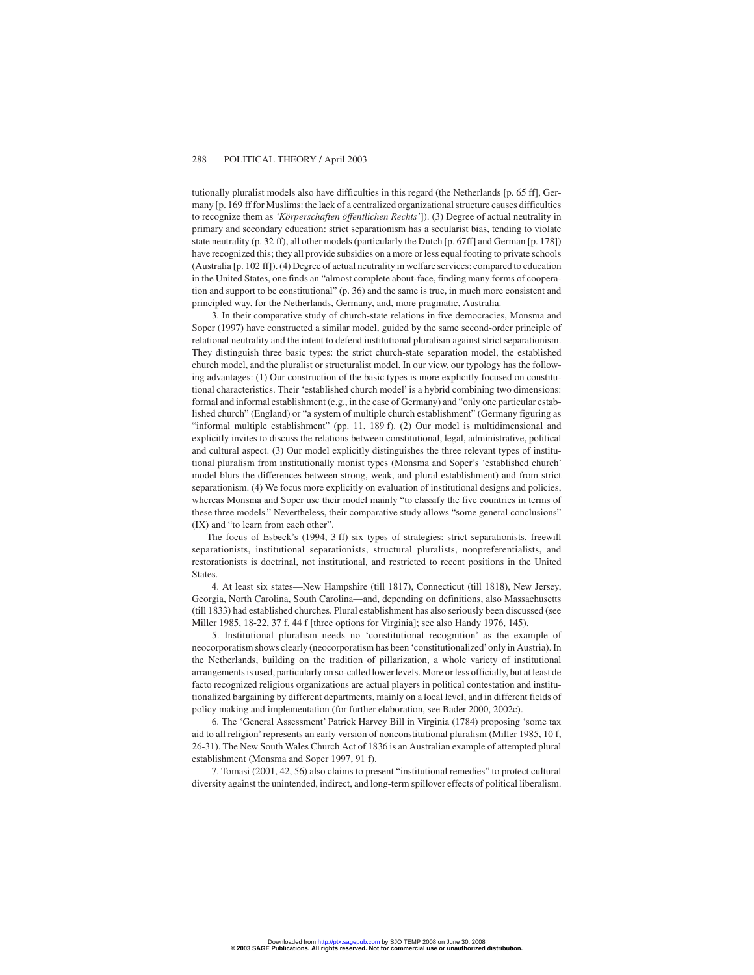tutionally pluralist models also have difficulties in this regard (the Netherlands [p. 65 ff], Germany [p. 169 ff for Muslims: the lack of a centralized organizational structure causes difficulties to recognize them as *'Körperschaften öffentlichen Rechts'*]). (3) Degree of actual neutrality in primary and secondary education: strict separationism has a secularist bias, tending to violate state neutrality (p. 32 ff), all other models (particularly the Dutch [p. 67ff] and German [p. 178]) have recognized this; they all provide subsidies on a more or less equal footing to private schools (Australia [p. 102 ff]). (4) Degree of actual neutrality in welfare services: compared to education in the United States, one finds an "almost complete about-face, finding many forms of cooperation and support to be constitutional" (p. 36) and the same is true, in much more consistent and principled way, for the Netherlands, Germany, and, more pragmatic, Australia.

3. In their comparative study of church-state relations in five democracies, Monsma and Soper (1997) have constructed a similar model, guided by the same second-order principle of relational neutrality and the intent to defend institutional pluralism against strict separationism. They distinguish three basic types: the strict church-state separation model, the established church model, and the pluralist or structuralist model. In our view, our typology has the following advantages: (1) Our construction of the basic types is more explicitly focused on constitutional characteristics. Their 'established church model' is a hybrid combining two dimensions: formal and informal establishment (e.g., in the case of Germany) and "only one particular established church" (England) or "a system of multiple church establishment" (Germany figuring as "informal multiple establishment" (pp. 11, 189 f). (2) Our model is multidimensional and explicitly invites to discuss the relations between constitutional, legal, administrative, political and cultural aspect. (3) Our model explicitly distinguishes the three relevant types of institutional pluralism from institutionally monist types (Monsma and Soper's 'established church' model blurs the differences between strong, weak, and plural establishment) and from strict separationism. (4) We focus more explicitly on evaluation of institutional designs and policies, whereas Monsma and Soper use their model mainly "to classify the five countries in terms of these three models." Nevertheless, their comparative study allows "some general conclusions" (IX) and "to learn from each other".

The focus of Esbeck's (1994, 3 ff) six types of strategies: strict separationists, freewill separationists, institutional separationists, structural pluralists, nonpreferentialists, and restorationists is doctrinal, not institutional, and restricted to recent positions in the United **States**.

4. At least six states—New Hampshire (till 1817), Connecticut (till 1818), New Jersey, Georgia, North Carolina, South Carolina—and, depending on definitions, also Massachusetts (till 1833) had established churches. Plural establishment has also seriously been discussed (see Miller 1985, 18-22, 37 f, 44 f [three options for Virginia]; see also Handy 1976, 145).

5. Institutional pluralism needs no 'constitutional recognition' as the example of neocorporatism shows clearly (neocorporatism has been 'constitutionalized'only in Austria). In the Netherlands, building on the tradition of pillarization, a whole variety of institutional arrangements is used, particularly on so-called lower levels. More or less officially, but at least de facto recognized religious organizations are actual players in political contestation and institutionalized bargaining by different departments, mainly on a local level, and in different fields of policy making and implementation (for further elaboration, see Bader 2000, 2002c).

6. The 'General Assessment' Patrick Harvey Bill in Virginia (1784) proposing 'some tax aid to all religion' represents an early version of nonconstitutional pluralism (Miller 1985, 10 f, 26-31). The New South Wales Church Act of 1836 is an Australian example of attempted plural establishment (Monsma and Soper 1997, 91 f).

7. Tomasi (2001, 42, 56) also claims to present "institutional remedies" to protect cultural diversity against the unintended, indirect, and long-term spillover effects of political liberalism.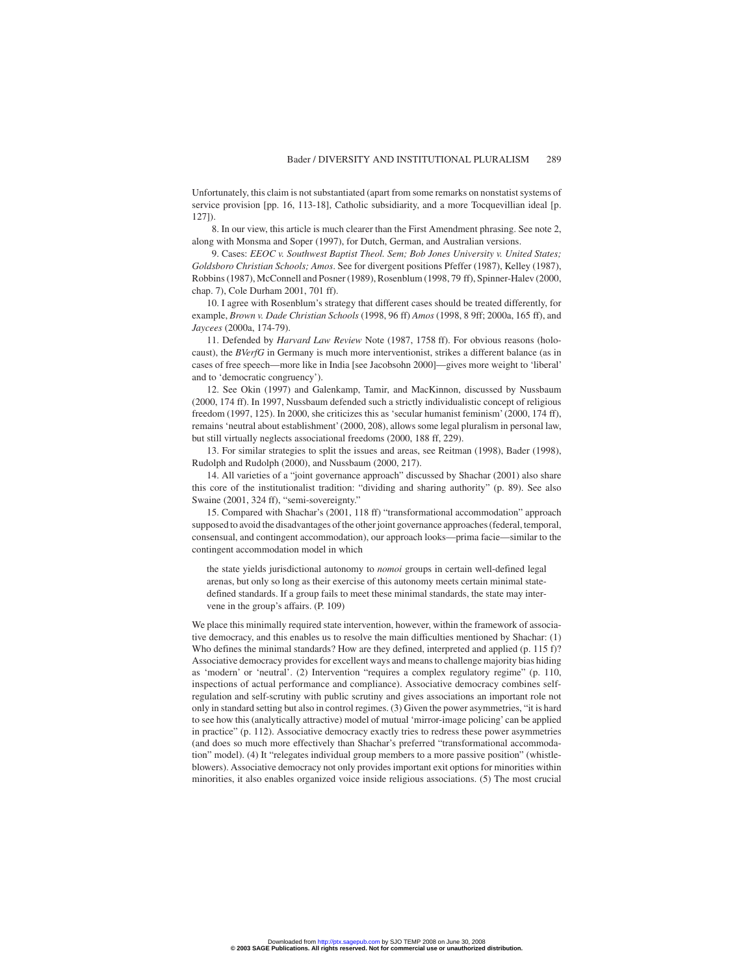Unfortunately, this claim is not substantiated (apart from some remarks on nonstatist systems of service provision [pp. 16, 113-18], Catholic subsidiarity, and a more Tocquevillian ideal [p. 127]).

8. In our view, this article is much clearer than the First Amendment phrasing. See note 2, along with Monsma and Soper (1997), for Dutch, German, and Australian versions.

9. Cases: *EEOC v. Southwest Baptist Theol. Sem; Bob Jones University v. United States; Goldsboro Christian Schools; Amos*. See for divergent positions Pfeffer (1987), Kelley (1987), Robbins (1987), McConnell and Posner (1989), Rosenblum (1998, 79 ff), Spinner-Halev (2000, chap. 7), Cole Durham 2001, 701 ff).

10. I agree with Rosenblum's strategy that different cases should be treated differently, for example, *Brown v. Dade Christian Schools* (1998, 96 ff) *Amos* (1998, 8 9ff; 2000a, 165 ff), and *Jaycees* (2000a, 174-79).

11. Defended by *Harvard Law Review* Note (1987, 1758 ff). For obvious reasons (holocaust), the *BVerfG* in Germany is much more interventionist, strikes a different balance (as in cases of free speech—more like in India [see Jacobsohn 2000]—gives more weight to 'liberal' and to 'democratic congruency').

12. See Okin (1997) and Galenkamp, Tamir, and MacKinnon, discussed by Nussbaum (2000, 174 ff). In 1997, Nussbaum defended such a strictly individualistic concept of religious freedom (1997, 125). In 2000, she criticizes this as 'secular humanist feminism' (2000, 174 ff), remains 'neutral about establishment' (2000, 208), allows some legal pluralism in personal law, but still virtually neglects associational freedoms (2000, 188 ff, 229).

13. For similar strategies to split the issues and areas, see Reitman (1998), Bader (1998), Rudolph and Rudolph (2000), and Nussbaum (2000, 217).

14. All varieties of a "joint governance approach" discussed by Shachar (2001) also share this core of the institutionalist tradition: "dividing and sharing authority" (p. 89). See also Swaine (2001, 324 ff), "semi-sovereignty."

15. Compared with Shachar's (2001, 118 ff) "transformational accommodation" approach supposed to avoid the disadvantages of the other joint governance approaches (federal, temporal, consensual, and contingent accommodation), our approach looks—prima facie—similar to the contingent accommodation model in which

the state yields jurisdictional autonomy to *nomoi* groups in certain well-defined legal arenas, but only so long as their exercise of this autonomy meets certain minimal statedefined standards. If a group fails to meet these minimal standards, the state may intervene in the group's affairs. (P. 109)

We place this minimally required state intervention, however, within the framework of associative democracy, and this enables us to resolve the main difficulties mentioned by Shachar: (1) Who defines the minimal standards? How are they defined, interpreted and applied (p. 115 f)? Associative democracy provides for excellent ways and means to challenge majority bias hiding as 'modern' or 'neutral'. (2) Intervention "requires a complex regulatory regime" (p. 110, inspections of actual performance and compliance). Associative democracy combines selfregulation and self-scrutiny with public scrutiny and gives associations an important role not only in standard setting but also in control regimes. (3) Given the power asymmetries, "it is hard to see how this (analytically attractive) model of mutual 'mirror-image policing' can be applied in practice" (p. 112). Associative democracy exactly tries to redress these power asymmetries (and does so much more effectively than Shachar's preferred "transformational accommodation" model). (4) It "relegates individual group members to a more passive position" (whistleblowers). Associative democracy not only provides important exit options for minorities within minorities, it also enables organized voice inside religious associations. (5) The most crucial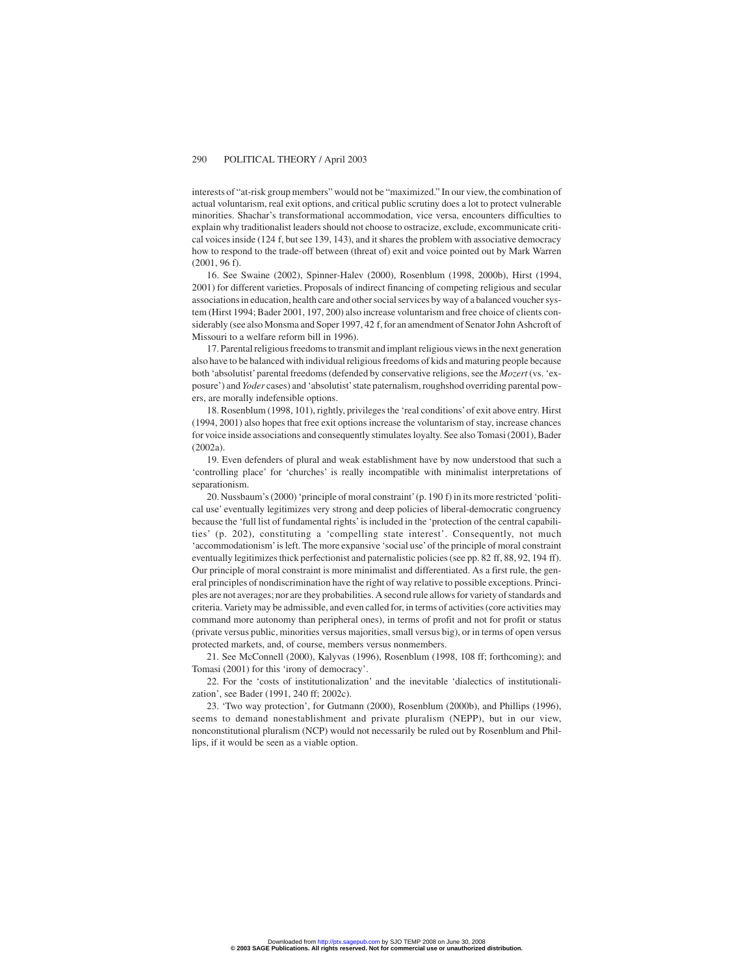interests of "at-risk group members" would not be "maximized." In our view, the combination of actual voluntarism, real exit options, and critical public scrutiny does a lot to protect vulnerable minorities. Shachar's transformational accommodation, vice versa, encounters difficulties to explain why traditionalist leaders should not choose to ostracize, exclude, excommunicate critical voices inside (124 f, but see 139, 143), and it shares the problem with associative democracy how to respond to the trade-off between (threat of) exit and voice pointed out by Mark Warren (2001, 96 f).

16. See Swaine (2002), Spinner-Halev (2000), Rosenblum (1998, 2000b), Hirst (1994, 2001) for different varieties. Proposals of indirect financing of competing religious and secular associations in education, health care and other social services by way of a balanced voucher system (Hirst 1994; Bader 2001, 197, 200) also increase voluntarism and free choice of clients considerably (see also Monsma and Soper 1997, 42 f, for an amendment of Senator John Ashcroft of Missouri to a welfare reform bill in 1996).

17. Parental religious freedoms to transmit and implant religious views in the next generation also have to be balanced with individual religious freedoms of kids and maturing people because both 'absolutist'parental freedoms (defended by conservative religions, see the *Mozert* (vs. 'exposure') and *Yoder* cases) and 'absolutist'state paternalism, roughshod overriding parental powers, are morally indefensible options.

18. Rosenblum (1998, 101), rightly, privileges the 'real conditions'of exit above entry. Hirst (1994, 2001) also hopes that free exit options increase the voluntarism of stay, increase chances for voice inside associations and consequently stimulates loyalty. See also Tomasi (2001), Bader (2002a).

19. Even defenders of plural and weak establishment have by now understood that such a 'controlling place' for 'churches' is really incompatible with minimalist interpretations of separationism.

20. Nussbaum's (2000) 'principle of moral constraint'(p. 190 f) in its more restricted 'political use' eventually legitimizes very strong and deep policies of liberal-democratic congruency because the 'full list of fundamental rights' is included in the 'protection of the central capabilities' (p. 202), constituting a 'compelling state interest'. Consequently, not much 'accommodationism'is left. The more expansive 'social use'of the principle of moral constraint eventually legitimizes thick perfectionist and paternalistic policies (see pp. 82 ff, 88, 92, 194 ff). Our principle of moral constraint is more minimalist and differentiated. As a first rule, the general principles of nondiscrimination have the right of way relative to possible exceptions. Principles are not averages; nor are they probabilities. A second rule allows for variety of standards and criteria. Variety may be admissible, and even called for, in terms of activities (core activities may command more autonomy than peripheral ones), in terms of profit and not for profit or status (private versus public, minorities versus majorities, small versus big), or in terms of open versus protected markets, and, of course, members versus nonmembers.

21. See McConnell (2000), Kalyvas (1996), Rosenblum (1998, 108 ff; forthcoming); and Tomasi (2001) for this 'irony of democracy'.

22. For the 'costs of institutionalization' and the inevitable 'dialectics of institutionalization', see Bader (1991, 240 ff; 2002c).

23. 'Two way protection', for Gutmann (2000), Rosenblum (2000b), and Phillips (1996), seems to demand nonestablishment and private pluralism (NEPP), but in our view, nonconstitutional pluralism (NCP) would not necessarily be ruled out by Rosenblum and Phillips, if it would be seen as a viable option.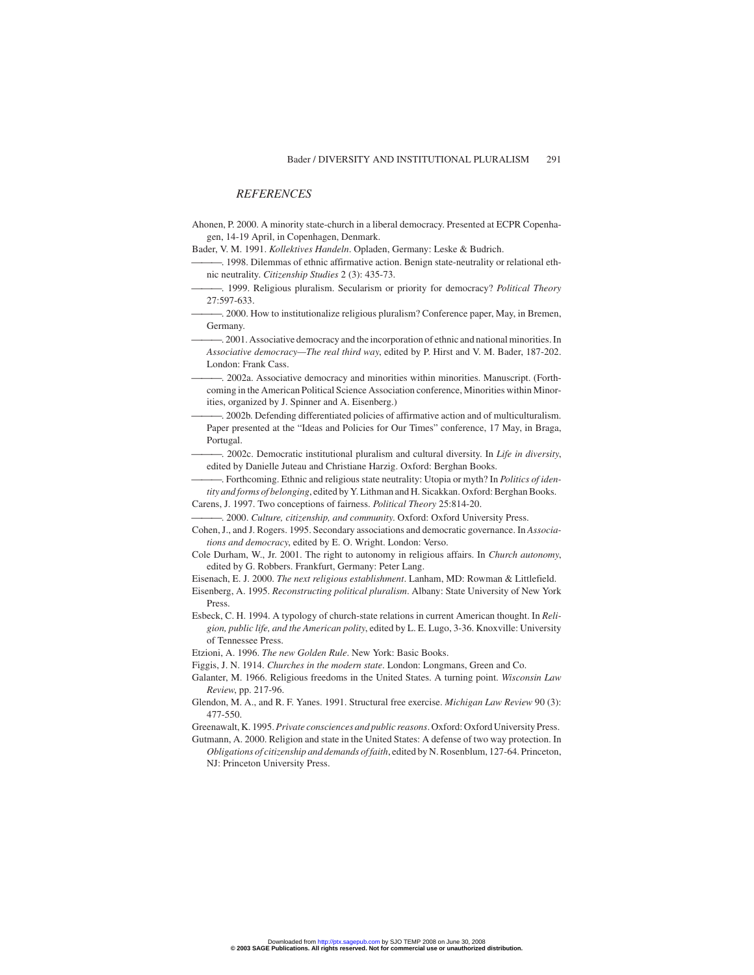#### *REFERENCES*

Ahonen, P. 2000. A minority state-church in a liberal democracy. Presented at ECPR Copenhagen, 14-19 April, in Copenhagen, Denmark.

Bader, V. M. 1991. *Kollektives Handeln*. Opladen, Germany: Leske & Budrich.

- . 1998. Dilemmas of ethnic affirmative action. Benign state-neutrality or relational ethnic neutrality. *Citizenship Studies* 2 (3): 435-73.
- . 1999. Religious pluralism. Secularism or priority for democracy? *Political Theory* 27:597-633.
- . 2000. How to institutionalize religious pluralism? Conference paper, May, in Bremen, Germany.
- . 2001. Associative democracy and the incorporation of ethnic and national minorities. In *Associative democracy—The real third way*, edited by P. Hirst and V. M. Bader, 187-202. London: Frank Cass.
- . 2002a. Associative democracy and minorities within minorities. Manuscript. (Forthcoming in the American Political Science Association conference, Minorities within Minorities, organized by J. Spinner and A. Eisenberg.)
- . 2002b. Defending differentiated policies of affirmative action and of multiculturalism. Paper presented at the "Ideas and Policies for Our Times" conference, 17 May, in Braga, Portugal.
- . 2002c. Democratic institutional pluralism and cultural diversity. In *Life in diversity*, edited by Danielle Juteau and Christiane Harzig. Oxford: Berghan Books.
- . Forthcoming. Ethnic and religious state neutrality: Utopia or myth? In *Politics of identity and forms of belonging*, edited by Y. Lithman and H. Sicakkan. Oxford: Berghan Books. Carens, J. 1997. Two conceptions of fairness. *Political Theory* 25:814-20.
- . 2000. *Culture, citizenship, and community*. Oxford: Oxford University Press.
- Cohen, J., and J. Rogers. 1995. Secondary associations and democratic governance. In *Associations and democracy*, edited by E. O. Wright. London: Verso.
- Cole Durham, W., Jr. 2001. The right to autonomy in religious affairs. In *Church autonomy*, edited by G. Robbers. Frankfurt, Germany: Peter Lang.
- Eisenach, E. J. 2000. *The next religious establishment*. Lanham, MD: Rowman & Littlefield.
- Eisenberg, A. 1995. *Reconstructing political pluralism*. Albany: State University of New York Press.
- Esbeck, C. H. 1994. A typology of church-state relations in current American thought. In *Religion, public life, and the American polity*, edited by L. E. Lugo, 3-36. Knoxville: University of Tennessee Press.

Etzioni, A. 1996. *The new Golden Rule*. New York: Basic Books.

- Figgis, J. N. 1914. *Churches in the modern state*. London: Longmans, Green and Co.
- Galanter, M. 1966. Religious freedoms in the United States. A turning point. *Wisconsin Law Review*, pp. 217-96.
- Glendon, M. A., and R. F. Yanes. 1991. Structural free exercise. *Michigan Law Review* 90 (3): 477-550.
- Greenawalt, K. 1995.*Private consciences and public reasons*. Oxford: Oxford University Press.
- Gutmann, A. 2000. Religion and state in the United States: A defense of two way protection. In *Obligations of citizenship and demands of faith*, edited by N. Rosenblum, 127-64. Princeton, NJ: Princeton University Press.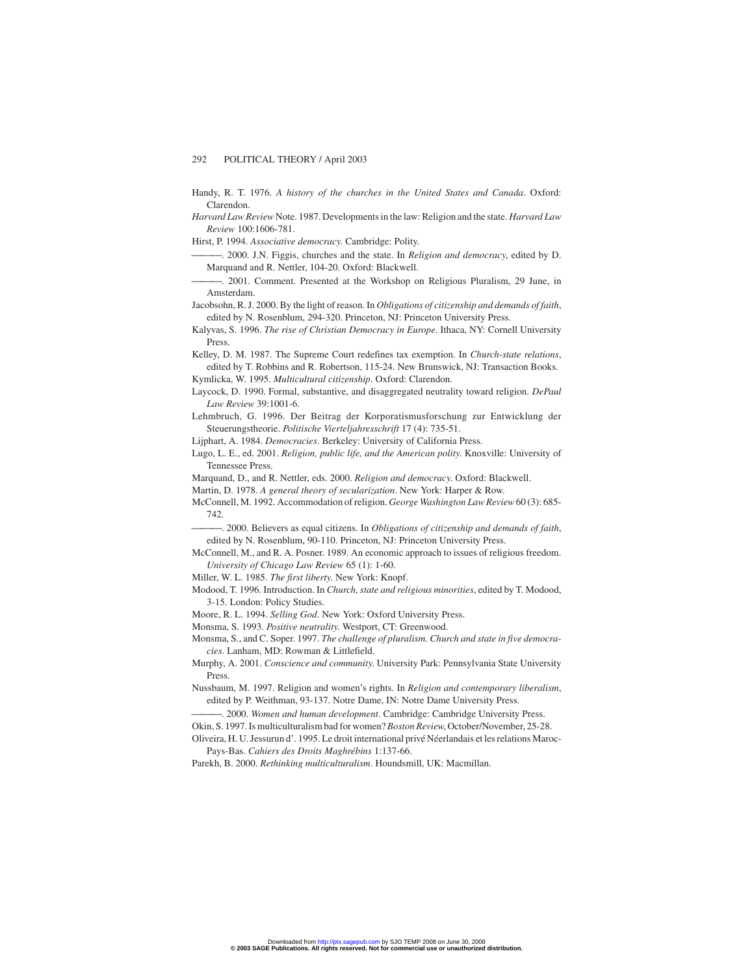- Handy, R. T. 1976. *A history of the churches in the United States and Canada*. Oxford: Clarendon.
- *Harvard Law Review* Note. 1987. Developments in the law: Religion and the state. *Harvard Law Review* 100:1606-781.

Hirst, P. 1994. *Associative democracy*. Cambridge: Polity.

- . 2000. J.N. Figgis, churches and the state. In *Religion and democracy*, edited by D. Marquand and R. Nettler, 104-20. Oxford: Blackwell.
- . 2001. Comment. Presented at the Workshop on Religious Pluralism, 29 June, in Amsterdam.
- Jacobsohn, R. J. 2000. By the light of reason. In *Obligations of citizenship and demands of faith*, edited by N. Rosenblum, 294-320. Princeton, NJ: Princeton University Press.
- Kalyvas, S. 1996. *The rise of Christian Democracy in Europe*. Ithaca, NY: Cornell University Press.

Kelley, D. M. 1987. The Supreme Court redefines tax exemption. In *Church-state relations*, edited by T. Robbins and R. Robertson, 115-24. New Brunswick, NJ: Transaction Books. Kymlicka, W. 1995. *Multicultural citizenship*. Oxford: Clarendon.

- Laycock, D. 1990. Formal, substantive, and disaggregated neutrality toward religion. *DePaul Law Review* 39:1001-6.
- Lehmbruch, G. 1996. Der Beitrag der Korporatismusforschung zur Entwicklung der Steuerungstheorie. *Politische Vierteljahresschrift* 17 (4): 735-51.
- Lijphart, A. 1984. *Democracies*. Berkeley: University of California Press.
- Lugo, L. E., ed. 2001. *Religion, public life, and the American polity*. Knoxville: University of Tennessee Press.
- Marquand, D., and R. Nettler, eds. 2000. *Religion and democracy*. Oxford: Blackwell.
- Martin, D. 1978. *A general theory of secularization*. New York: Harper & Row.
- McConnell, M. 1992. Accommodation of religion. *George Washington Law Review* 60 (3): 685- 742.
- . 2000. Believers as equal citizens. In *Obligations of citizenship and demands of faith*, edited by N. Rosenblum, 90-110. Princeton, NJ: Princeton University Press.
- McConnell, M., and R. A. Posner. 1989. An economic approach to issues of religious freedom. *University of Chicago Law Review* 65 (1): 1-60.
- Miller, W. L. 1985. *The first liberty*. New York: Knopf.
- Modood, T. 1996. Introduction. In *Church, state and religious minorities*, edited by T. Modood, 3-15. London: Policy Studies.
- Moore, R. L. 1994. *Selling God*. New York: Oxford University Press.
- Monsma, S. 1993. *Positive neutrality*. Westport, CT: Greenwood.
- Monsma, S., and C. Soper. 1997. *The challenge of pluralism. Church and state in five democracies*. Lanham, MD: Rowman & Littlefield.
- Murphy, A. 2001. *Conscience and community*. University Park: Pennsylvania State University Press.
- Nussbaum, M. 1997. Religion and women's rights. In *Religion and contemporary liberalism*, edited by P. Weithman, 93-137. Notre Dame, IN: Notre Dame University Press.
	- . 2000. *Women and human development*. Cambridge: Cambridge University Press.
- Okin, S. 1997. Is multiculturalism bad for women?*Boston Review*, October/November, 25-28.
- Oliveira, H. U. Jessurun d'. 1995. Le droit international privé Néerlandais et les relations Maroc-Pays-Bas. *Cahiers des Droits Maghrébins* 1:137-66.

Parekh, B. 2000. *Rethinking multiculturalism*. Houndsmill, UK: Macmillan.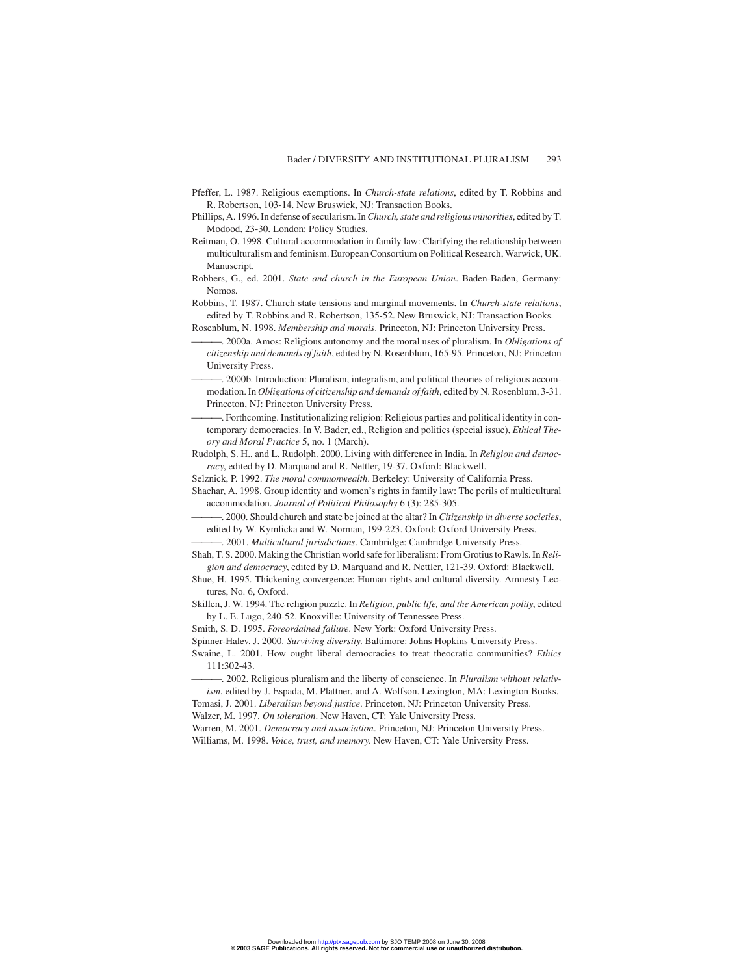- Pfeffer, L. 1987. Religious exemptions. In *Church-state relations*, edited by T. Robbins and R. Robertson, 103-14. New Bruswick, NJ: Transaction Books.
- Phillips, A. 1996. In defense of secularism. In*Church, state and religious minorities*, edited by T. Modood, 23-30. London: Policy Studies.
- Reitman, O. 1998. Cultural accommodation in family law: Clarifying the relationship between multiculturalism and feminism. European Consortium on Political Research, Warwick, UK. Manuscript.
- Robbers, G., ed. 2001. *State and church in the European Union*. Baden-Baden, Germany: Nomos.
- Robbins, T. 1987. Church-state tensions and marginal movements. In *Church-state relations*, edited by T. Robbins and R. Robertson, 135-52. New Bruswick, NJ: Transaction Books.

Rosenblum, N. 1998. *Membership and morals*. Princeton, NJ: Princeton University Press.

- . 2000a. Amos: Religious autonomy and the moral uses of pluralism. In *Obligations of citizenship and demands of faith*, edited by N. Rosenblum, 165-95. Princeton, NJ: Princeton University Press.
- . 2000b. Introduction: Pluralism, integralism, and political theories of religious accommodation. In *Obligations of citizenship and demands of faith*, edited by N. Rosenblum, 3-31. Princeton, NJ: Princeton University Press.
- . Forthcoming. Institutionalizing religion: Religious parties and political identity in contemporary democracies. In V. Bader, ed., Religion and politics (special issue), *Ethical Theory and Moral Practice* 5, no. 1 (March).
- Rudolph, S. H., and L. Rudolph. 2000. Living with difference in India. In *Religion and democracy*, edited by D. Marquand and R. Nettler, 19-37. Oxford: Blackwell.
- Selznick, P. 1992. *The moral commonwealth*. Berkeley: University of California Press.
- Shachar, A. 1998. Group identity and women's rights in family law: The perils of multicultural accommodation. *Journal of Political Philosophy* 6 (3): 285-305.
- . 2000. Should church and state be joined at the altar? In *Citizenship in diverse societies*, edited by W. Kymlicka and W. Norman, 199-223. Oxford: Oxford University Press.
- . 2001. *Multicultural jurisdictions*. Cambridge: Cambridge University Press.

Shah, T. S. 2000. Making the Christian world safe for liberalism: From Grotius to Rawls. In *Religion and democracy*, edited by D. Marquand and R. Nettler, 121-39. Oxford: Blackwell.

- Shue, H. 1995. Thickening convergence: Human rights and cultural diversity. Amnesty Lectures, No. 6, Oxford.
- Skillen, J. W. 1994. The religion puzzle. In *Religion, public life, and the American polity*, edited by L. E. Lugo, 240-52. Knoxville: University of Tennessee Press.
- Smith, S. D. 1995. *Foreordained failure*. New York: Oxford University Press.

Spinner-Halev, J. 2000. *Surviving diversity*. Baltimore: Johns Hopkins University Press.

- Swaine, L. 2001. How ought liberal democracies to treat theocratic communities? *Ethics* 111:302-43.
- . 2002. Religious pluralism and the liberty of conscience. In *Pluralism without relativism*, edited by J. Espada, M. Plattner, and A. Wolfson. Lexington, MA: Lexington Books.
- Tomasi, J. 2001. *Liberalism beyond justice*. Princeton, NJ: Princeton University Press. Walzer, M. 1997. *On toleration*. New Haven, CT: Yale University Press.
- 
- Warren, M. 2001. *Democracy and association*. Princeton, NJ: Princeton University Press. Williams, M. 1998. *Voice, trust, and memory*. New Haven, CT: Yale University Press.